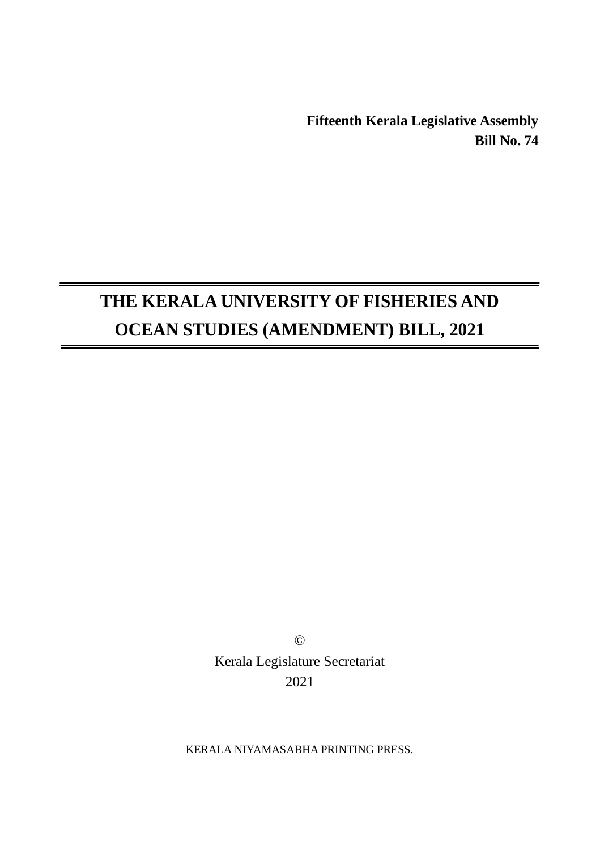**Fifteenth Kerala Legislative Assembly Bill No. 74**

# **THE KERALA UNIVERSITY OF FISHERIES AND OCEAN STUDIES (AMENDMENT) BILL, 2021**

© Kerala Legislature Secretariat 2021

KERALA NIYAMASABHA PRINTING PRESS.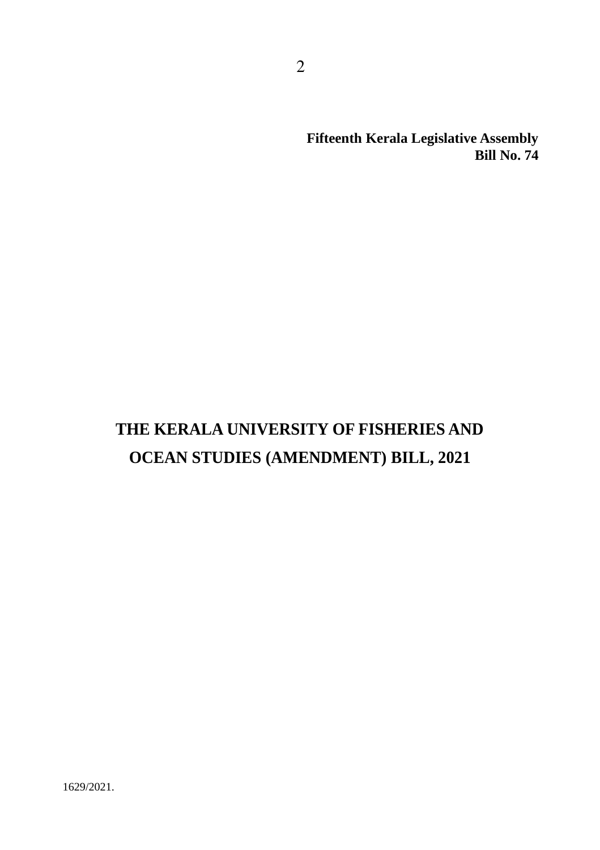**Fifteenth Kerala Legislative Assembly Bill No. 74**

## **THE KERALA UNIVERSITY OF FISHERIES AND OCEAN STUDIES (AMENDMENT) BILL, 2021**

2

1629/2021.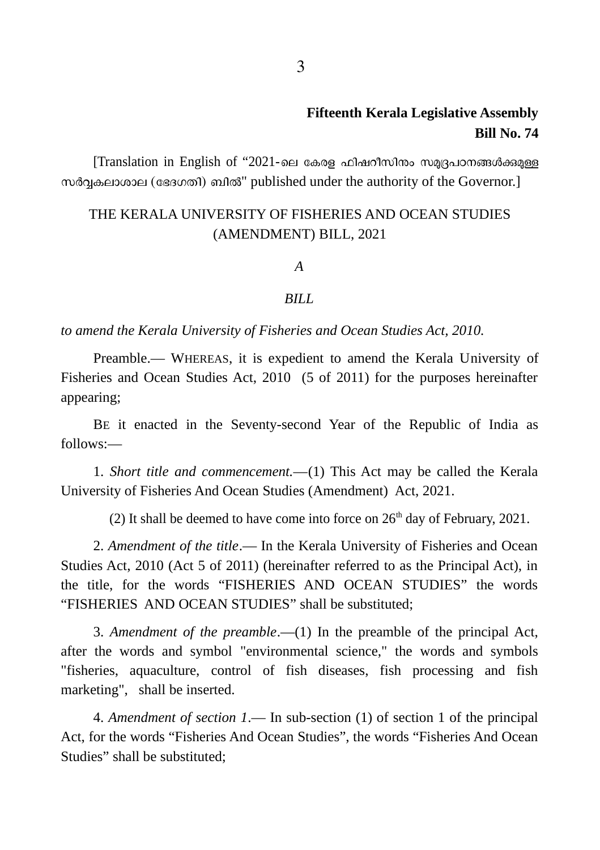## **Fifteenth Kerala Legislative Assembly Bill No. 74**

 $[Translation$  in English of "2021-ലെ കേരള ഫിഷറീസിനാം സമൃദ്രപഠനങ്ങൾക്കുമുള്ള സർവകലാശാല (ഭേദഗതി) ബിൽ" published under the authority of the Governor.]

### THE KERALA UNIVERSITY OF FISHERIES AND OCEAN STUDIES (AMENDMENT) BILL, 2021

*A*

#### *BILL*

*to amend the Kerala University of Fisheries and Ocean Studies Act, 2010.*

Preamble.― WHEREAS, it is expedient to amend the Kerala University of Fisheries and Ocean Studies Act, 2010 (5 of 2011) for the purposes hereinafter appearing;

BE it enacted in the Seventy-second Year of the Republic of India as follows:*―*

1. *Short title and commencement.―*(1) This Act may be called the Kerala University of Fisheries And Ocean Studies (Amendment) Act, 2021.

(2) It shall be deemed to have come into force on  $26<sup>th</sup>$  day of February, 2021.

2. *Amendment of the title*.― In the Kerala University of Fisheries and Ocean Studies Act, 2010 (Act 5 of 2011) (hereinafter referred to as the Principal Act), in the title, for the words "FISHERIES AND OCEAN STUDIES" the words "FISHERIES AND OCEAN STUDIES" shall be substituted;

3. *Amendment of the preamble*.―(1) In the preamble of the principal Act, after the words and symbol "environmental science," the words and symbols "fisheries, aquaculture, control of fish diseases, fish processing and fish marketing", shall be inserted.

4. *Amendment of section 1*.― In sub-section (1) of section 1 of the principal Act, for the words "Fisheries And Ocean Studies", the words "Fisheries And Ocean Studies" shall be substituted;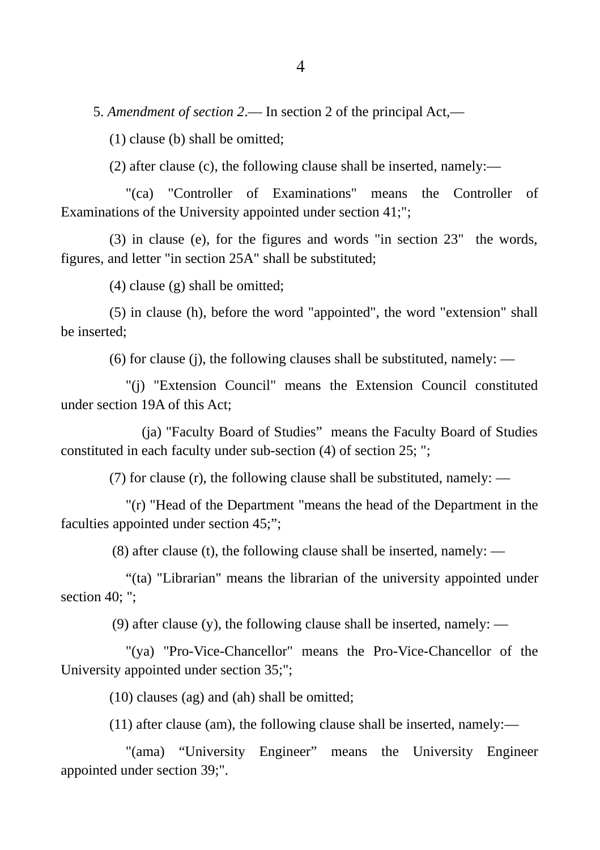5. *Amendment of section 2*.― In section 2 of the principal Act,―

(1) clause (b) shall be omitted;

(2) after clause (c), the following clause shall be inserted, namely:―

"(ca) "Controller of Examinations" means the Controller of Examinations of the University appointed under section 41;";

(3) in clause (e), for the figures and words "in section 23" the words, figures, and letter "in section 25A" shall be substituted;

(4) clause (g) shall be omitted;

(5) in clause (h), before the word "appointed", the word "extension" shall be inserted;

(6) for clause (j), the following clauses shall be substituted, namely: ―

"(j) "Extension Council" means the Extension Council constituted under section 19A of this Act;

(ja) "Faculty Board of Studies" means the Faculty Board of Studies constituted in each faculty under sub-section (4) of section 25; ";

(7) for clause (r), the following clause shall be substituted, namely: ―

"(r) "Head of the Department "means the head of the Department in the faculties appointed under section 45;";

(8) after clause (t), the following clause shall be inserted, namely: ―

"(ta) "Librarian" means the librarian of the university appointed under section 40; ";

(9) after clause (y), the following clause shall be inserted, namely:  $\frac{1}{2}$ 

"(ya) "Pro-Vice-Chancellor" means the Pro-Vice-Chancellor of the University appointed under section 35;";

(10) clauses (ag) and (ah) shall be omitted;

(11) after clause (am), the following clause shall be inserted, namely:―

"(ama) "University Engineer" means the University Engineer appointed under section 39;".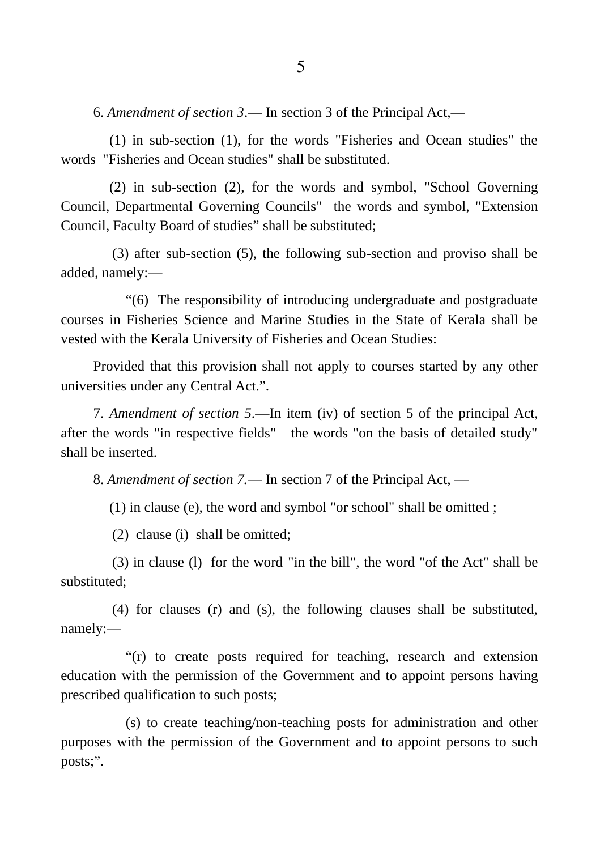6. *Amendment of section 3*.― In section 3 of the Principal Act,―

(1) in sub-section (1), for the words "Fisheries and Ocean studies" the words "Fisheries and Ocean studies" shall be substituted.

(2) in sub-section (2), for the words and symbol, "School Governing Council, Departmental Governing Councils" the words and symbol, "Extension Council, Faculty Board of studies" shall be substituted;

(3) after sub-section (5), the following sub-section and proviso shall be added, namely:―

"(6) The responsibility of introducing undergraduate and postgraduate courses in Fisheries Science and Marine Studies in the State of Kerala shall be vested with the Kerala University of Fisheries and Ocean Studies:

Provided that this provision shall not apply to courses started by any other universities under any Central Act.".

7. *Amendment of section 5*.―In item (iv) of section 5 of the principal Act, after the words "in respective fields" the words "on the basis of detailed study" shall be inserted.

8. *Amendment of section 7.*― In section 7 of the Principal Act, ―

(1) in clause (e), the word and symbol "or school" shall be omitted ;

(2) clause (i) shall be omitted;

(3) in clause (l) for the word "in the bill", the word "of the Act" shall be substituted;

(4) for clauses (r) and (s), the following clauses shall be substituted, namely:―

"(r) to create posts required for teaching, research and extension education with the permission of the Government and to appoint persons having prescribed qualification to such posts;

(s) to create teaching/non-teaching posts for administration and other purposes with the permission of the Government and to appoint persons to such posts;".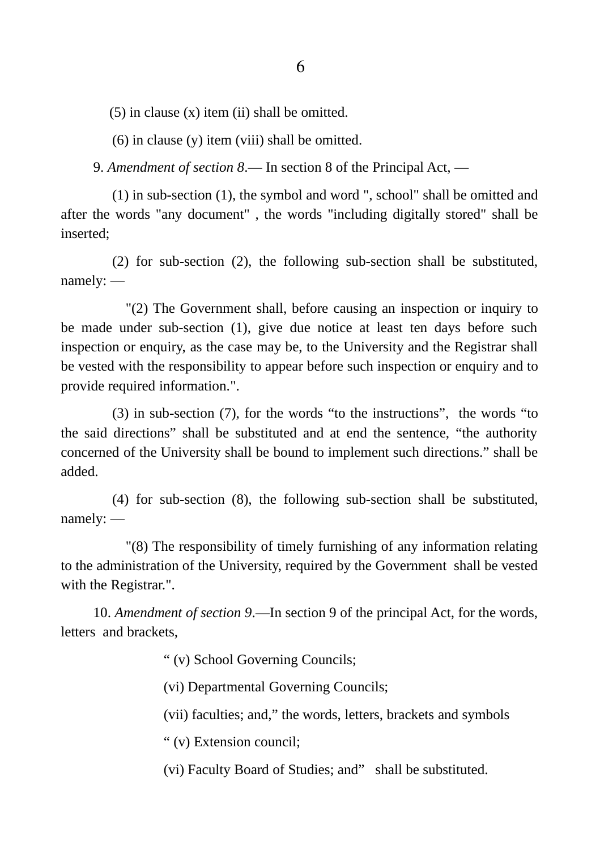$(5)$  in clause  $(x)$  item  $(ii)$  shall be omitted.

(6) in clause (y) item (viii) shall be omitted.

9. *Amendment of section 8*.― In section 8 of the Principal Act, ―

(1) in sub-section (1), the symbol and word ", school" shall be omitted and after the words "any document" , the words "including digitally stored" shall be inserted;

(2) for sub-section (2), the following sub-section shall be substituted, namely: ―

"(2) The Government shall, before causing an inspection or inquiry to be made under sub-section (1), give due notice at least ten days before such inspection or enquiry, as the case may be, to the University and the Registrar shall be vested with the responsibility to appear before such inspection or enquiry and to provide required information.".

(3) in sub-section (7), for the words "to the instructions", the words "to the said directions" shall be substituted and at end the sentence, "the authority concerned of the University shall be bound to implement such directions." shall be added.

(4) for sub-section (8), the following sub-section shall be substituted, namely: ―

"(8) The responsibility of timely furnishing of any information relating to the administration of the University, required by the Government shall be vested with the Registrar.".

10. *Amendment of section 9*.―In section 9 of the principal Act, for the words, letters and brackets,

" (v) School Governing Councils;

(vi) Departmental Governing Councils;

(vii) faculties; and," the words, letters, brackets and symbols

" (v) Extension council;

(vi) Faculty Board of Studies; and" shall be substituted.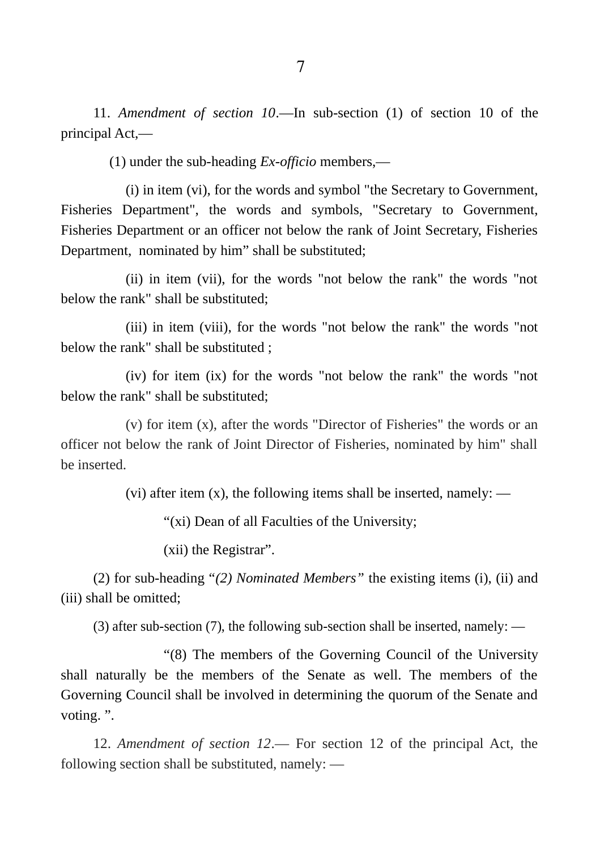11. *Amendment of section 10*.―In sub-section (1) of section 10 of the principal Act,―

(1) under the sub-heading *Ex-officio* members,―

(i) in item (vi), for the words and symbol "the Secretary to Government, Fisheries Department", the words and symbols, "Secretary to Government, Fisheries Department or an officer not below the rank of Joint Secretary, Fisheries Department, nominated by him" shall be substituted;

(ii) in item (vii), for the words "not below the rank" the words "not below the rank" shall be substituted;

(iii) in item (viii), for the words "not below the rank" the words "not below the rank" shall be substituted ;

(iv) for item (ix) for the words "not below the rank" the words "not below the rank" shall be substituted;

(v) for item (x), after the words "Director of Fisheries" the words or an officer not below the rank of Joint Director of Fisheries, nominated by him" shall be inserted.

(vi) after item  $(x)$ , the following items shall be inserted, namely: —

"(xi) Dean of all Faculties of the University;

(xii) the Registrar".

(2) for sub-heading "*(2) Nominated Members"* the existing items (i), (ii) and (iii) shall be omitted;

(3) after sub-section (7), the following sub-section shall be inserted, namely: ―

"(8) The members of the Governing Council of the University shall naturally be the members of the Senate as well. The members of the Governing Council shall be involved in determining the quorum of the Senate and voting. ".

12. *Amendment of section 12*.― For section 12 of the principal Act, the following section shall be substituted, namely: ―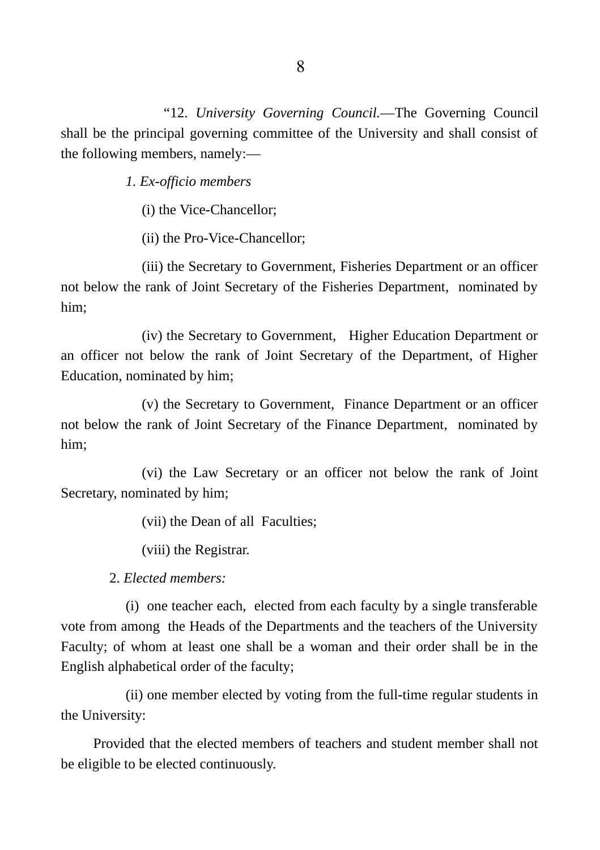"12. *University Governing Council.―*The Governing Council shall be the principal governing committee of the University and shall consist of the following members, namely:―

*1. Ex-officio members*

(i) the Vice-Chancellor;

(ii) the Pro-Vice-Chancellor;

(iii) the Secretary to Government, Fisheries Department or an officer not below the rank of Joint Secretary of the Fisheries Department, nominated by him;

(iv) the Secretary to Government, Higher Education Department or an officer not below the rank of Joint Secretary of the Department, of Higher Education, nominated by him;

(v) the Secretary to Government, Finance Department or an officer not below the rank of Joint Secretary of the Finance Department, nominated by him;

(vi) the Law Secretary or an officer not below the rank of Joint Secretary, nominated by him;

(vii) the Dean of all Faculties;

(viii) the Registrar.

2. *Elected members:*

(i) one teacher each, elected from each faculty by a single transferable vote from among the Heads of the Departments and the teachers of the University Faculty; of whom at least one shall be a woman and their order shall be in the English alphabetical order of the faculty;

(ii) one member elected by voting from the full-time regular students in the University:

Provided that the elected members of teachers and student member shall not be eligible to be elected continuously.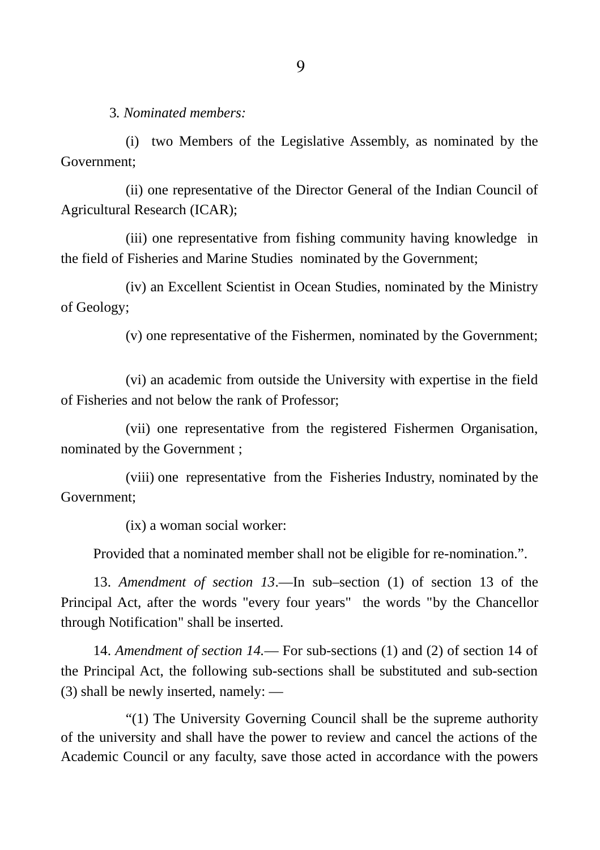3*. Nominated members:*

(i) two Members of the Legislative Assembly, as nominated by the Government;

(ii) one representative of the Director General of the Indian Council of Agricultural Research (ICAR);

(iii) one representative from fishing community having knowledge in the field of Fisheries and Marine Studies nominated by the Government;

(iv) an Excellent Scientist in Ocean Studies, nominated by the Ministry of Geology;

(v) one representative of the Fishermen, nominated by the Government;

(vi) an academic from outside the University with expertise in the field of Fisheries and not below the rank of Professor;

(vii) one representative from the registered Fishermen Organisation, nominated by the Government ;

(viii) one representative from the Fisheries Industry, nominated by the Government;

(ix) a woman social worker:

Provided that a nominated member shall not be eligible for re-nomination.".

13. *Amendment of section 13*.―In sub–section (1) of section 13 of the Principal Act, after the words "every four years" the words "by the Chancellor through Notification" shall be inserted.

14. *Amendment of section 14.*― For sub-sections (1) and (2) of section 14 of the Principal Act, the following sub-sections shall be substituted and sub-section (3) shall be newly inserted, namely: ―

"(1) The University Governing Council shall be the supreme authority of the university and shall have the power to review and cancel the actions of the Academic Council or any faculty, save those acted in accordance with the powers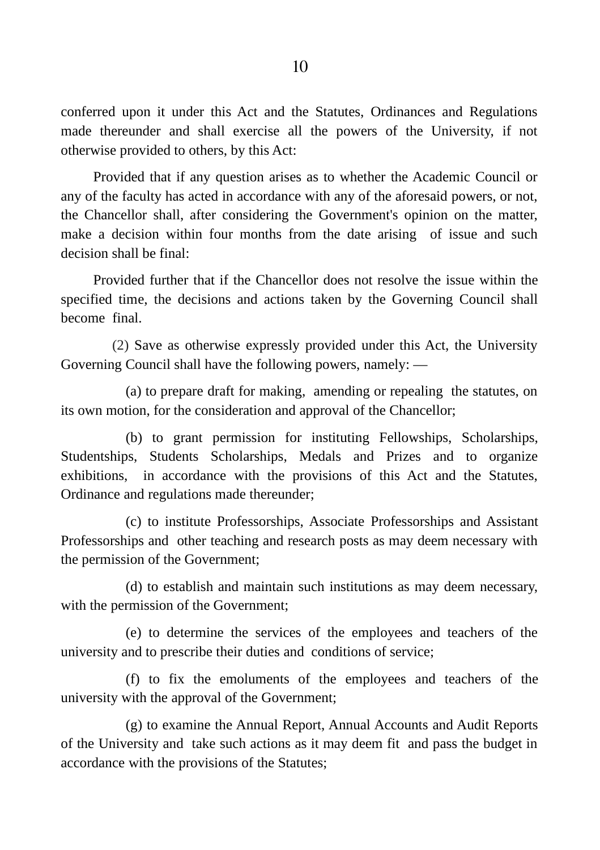conferred upon it under this Act and the Statutes, Ordinances and Regulations made thereunder and shall exercise all the powers of the University, if not otherwise provided to others, by this Act:

Provided that if any question arises as to whether the Academic Council or any of the faculty has acted in accordance with any of the aforesaid powers, or not, the Chancellor shall, after considering the Government's opinion on the matter, make a decision within four months from the date arising of issue and such decision shall be final:

Provided further that if the Chancellor does not resolve the issue within the specified time, the decisions and actions taken by the Governing Council shall become final.

(2) Save as otherwise expressly provided under this Act, the University Governing Council shall have the following powers, namely: ―

(a) to prepare draft for making, amending or repealing the statutes, on its own motion, for the consideration and approval of the Chancellor;

(b) to grant permission for instituting Fellowships, Scholarships, Studentships, Students Scholarships, Medals and Prizes and to organize exhibitions, in accordance with the provisions of this Act and the Statutes, Ordinance and regulations made thereunder;

(c) to institute Professorships, Associate Professorships and Assistant Professorships and other teaching and research posts as may deem necessary with the permission of the Government;

(d) to establish and maintain such institutions as may deem necessary, with the permission of the Government;

(e) to determine the services of the employees and teachers of the university and to prescribe their duties and conditions of service;

(f) to fix the emoluments of the employees and teachers of the university with the approval of the Government;

(g) to examine the Annual Report, Annual Accounts and Audit Reports of the University and take such actions as it may deem fit and pass the budget in accordance with the provisions of the Statutes;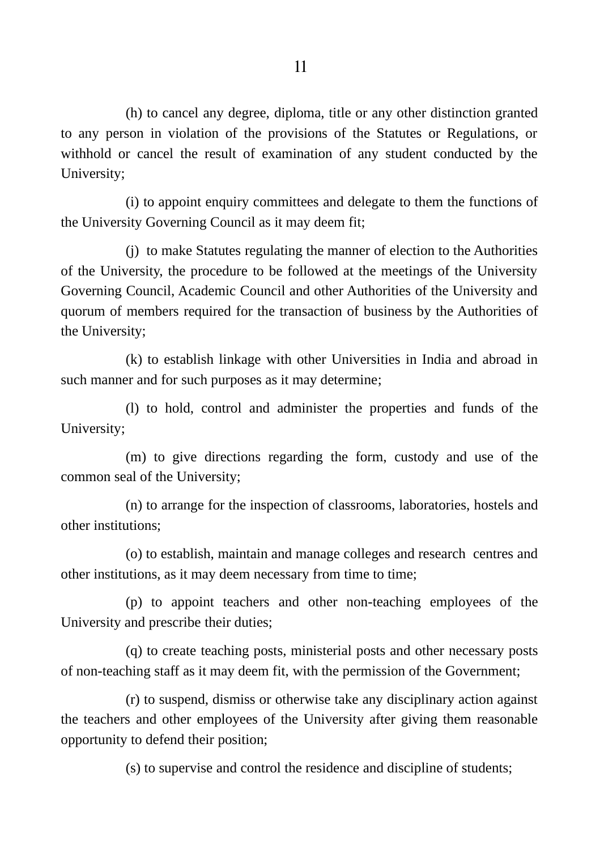(h) to cancel any degree, diploma, title or any other distinction granted to any person in violation of the provisions of the Statutes or Regulations, or withhold or cancel the result of examination of any student conducted by the University;

(i) to appoint enquiry committees and delegate to them the functions of the University Governing Council as it may deem fit;

(j) to make Statutes regulating the manner of election to the Authorities of the University, the procedure to be followed at the meetings of the University Governing Council, Academic Council and other Authorities of the University and quorum of members required for the transaction of business by the Authorities of the University;

(k) to establish linkage with other Universities in India and abroad in such manner and for such purposes as it may determine;

(l) to hold, control and administer the properties and funds of the University;

(m) to give directions regarding the form, custody and use of the common seal of the University;

(n) to arrange for the inspection of classrooms, laboratories, hostels and other institutions;

(o) to establish, maintain and manage colleges and research centres and other institutions, as it may deem necessary from time to time;

(p) to appoint teachers and other non-teaching employees of the University and prescribe their duties;

(q) to create teaching posts, ministerial posts and other necessary posts of non-teaching staff as it may deem fit, with the permission of the Government;

(r) to suspend, dismiss or otherwise take any disciplinary action against the teachers and other employees of the University after giving them reasonable opportunity to defend their position;

(s) to supervise and control the residence and discipline of students;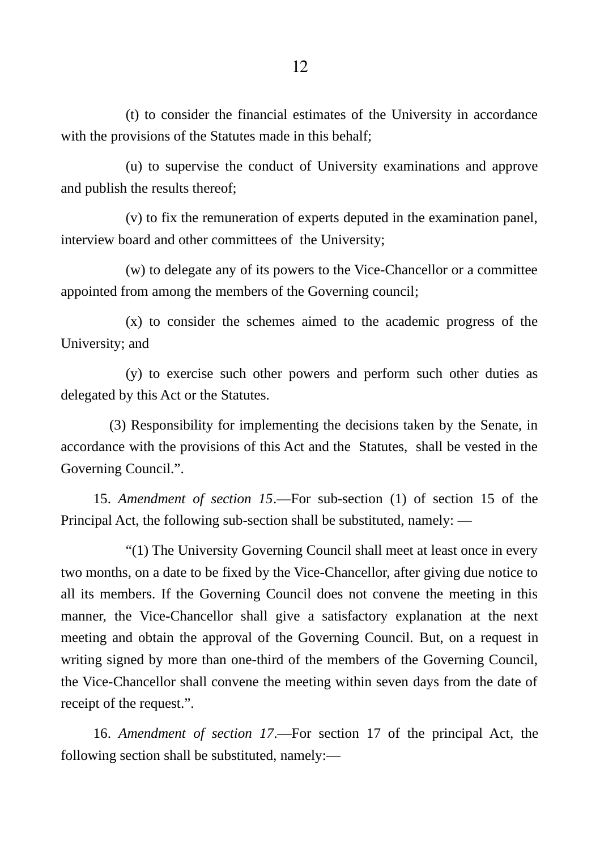(t) to consider the financial estimates of the University in accordance with the provisions of the Statutes made in this behalf;

(u) to supervise the conduct of University examinations and approve and publish the results thereof;

(v) to fix the remuneration of experts deputed in the examination panel, interview board and other committees of the University;

(w) to delegate any of its powers to the Vice-Chancellor or a committee appointed from among the members of the Governing council;

(x) to consider the schemes aimed to the academic progress of the University; and

(y) to exercise such other powers and perform such other duties as delegated by this Act or the Statutes.

(3) Responsibility for implementing the decisions taken by the Senate, in accordance with the provisions of this Act and the Statutes, shall be vested in the Governing Council.".

15. *Amendment of section 15*.―For sub-section (1) of section 15 of the Principal Act, the following sub-section shall be substituted, namely: ―

"(1) The University Governing Council shall meet at least once in every two months, on a date to be fixed by the Vice-Chancellor, after giving due notice to all its members. If the Governing Council does not convene the meeting in this manner, the Vice-Chancellor shall give a satisfactory explanation at the next meeting and obtain the approval of the Governing Council. But, on a request in writing signed by more than one-third of the members of the Governing Council, the Vice-Chancellor shall convene the meeting within seven days from the date of receipt of the request.".

16. *Amendment of section 17*.―For section 17 of the principal Act, the following section shall be substituted, namely:―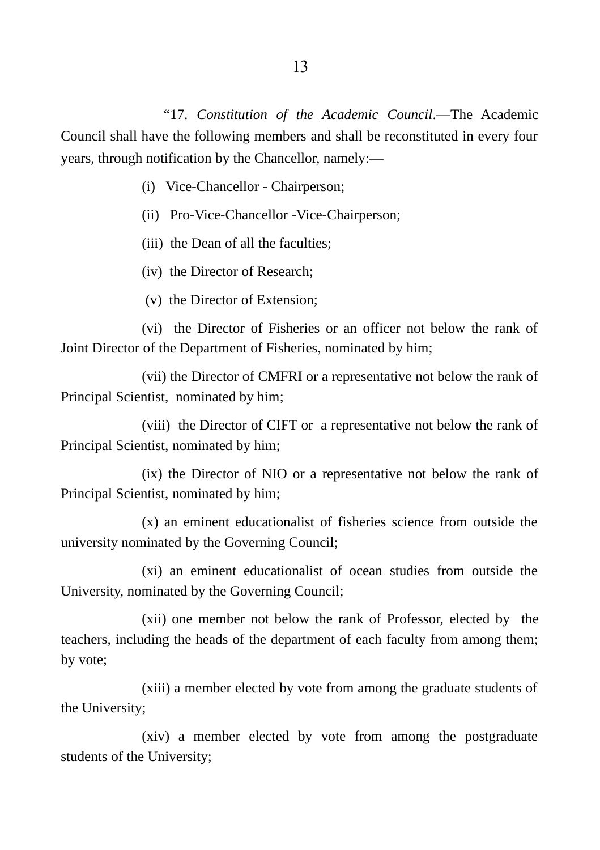"17. *Constitution of the Academic Council*.―The Academic Council shall have the following members and shall be reconstituted in every four years, through notification by the Chancellor, namely:―

- (i) Vice-Chancellor Chairperson;
- (ii) Pro-Vice-Chancellor -Vice-Chairperson;
- (iii) the Dean of all the faculties;
- (iv) the Director of Research;
- (v) the Director of Extension;

(vi) the Director of Fisheries or an officer not below the rank of Joint Director of the Department of Fisheries, nominated by him;

(vii) the Director of CMFRI or a representative not below the rank of Principal Scientist, nominated by him;

(viii) the Director of CIFT or a representative not below the rank of Principal Scientist, nominated by him;

(ix) the Director of NIO or a representative not below the rank of Principal Scientist, nominated by him;

(x) an eminent educationalist of fisheries science from outside the university nominated by the Governing Council;

(xi) an eminent educationalist of ocean studies from outside the University, nominated by the Governing Council;

(xii) one member not below the rank of Professor, elected by the teachers, including the heads of the department of each faculty from among them; by vote;

(xiii) a member elected by vote from among the graduate students of the University;

(xiv) a member elected by vote from among the postgraduate students of the University;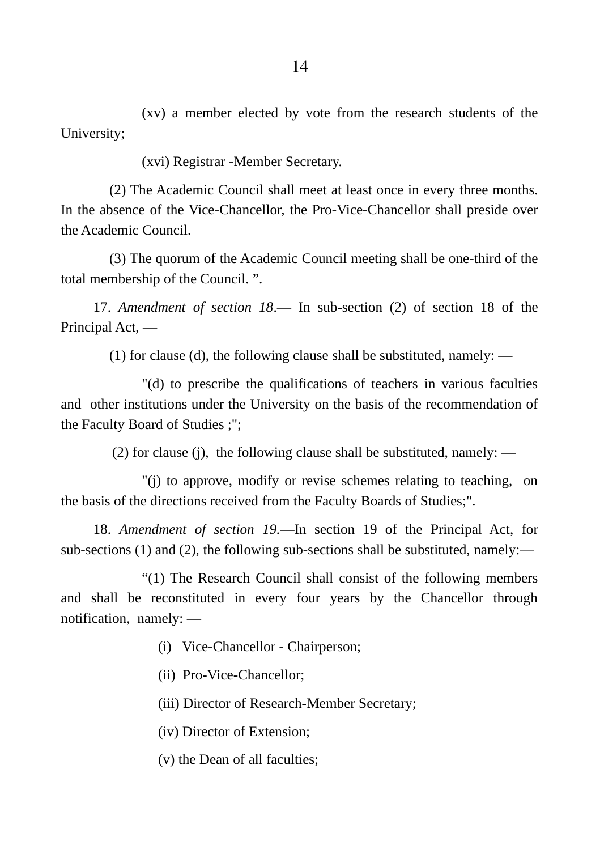(xv) a member elected by vote from the research students of the University;

(xvi) Registrar -Member Secretary.

(2) The Academic Council shall meet at least once in every three months. In the absence of the Vice-Chancellor, the Pro-Vice-Chancellor shall preside over the Academic Council.

(3) The quorum of the Academic Council meeting shall be one-third of the total membership of the Council. ".

17. *Amendment of section 18*.― In sub-section (2) of section 18 of the Principal Act, ―

(1) for clause (d), the following clause shall be substituted, namely: ―

"(d) to prescribe the qualifications of teachers in various faculties and other institutions under the University on the basis of the recommendation of the Faculty Board of Studies ;";

(2) for clause (j), the following clause shall be substituted, namely: ―

"(j) to approve, modify or revise schemes relating to teaching, on the basis of the directions received from the Faculty Boards of Studies;".

18. *Amendment of section 19.*―In section 19 of the Principal Act, for sub-sections (1) and (2), the following sub-sections shall be substituted, namely:―

"(1) The Research Council shall consist of the following members and shall be reconstituted in every four years by the Chancellor through notification, namely: ―

(i) Vice-Chancellor - Chairperson;

(ii) Pro-Vice-Chancellor;

(iii) Director of Research-Member Secretary;

(iv) Director of Extension;

(v) the Dean of all faculties;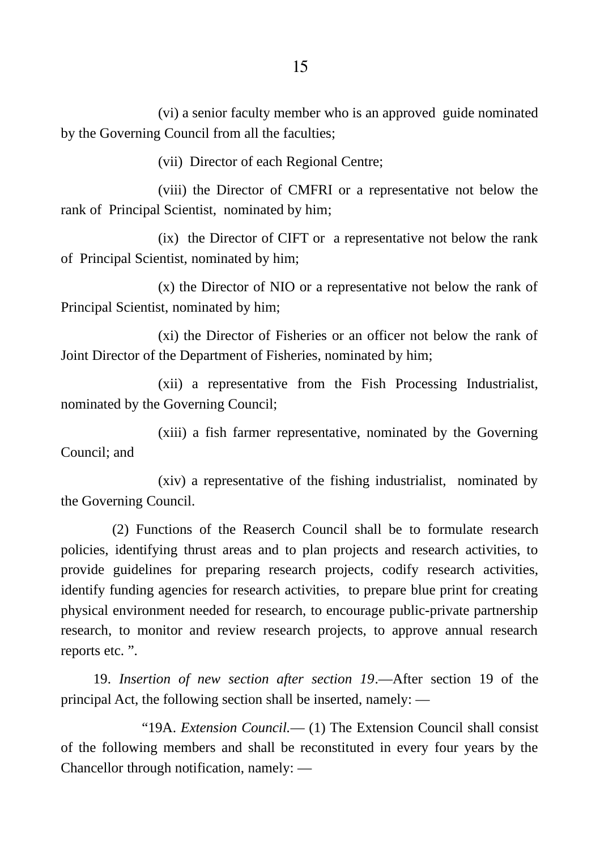(vi) a senior faculty member who is an approved guide nominated by the Governing Council from all the faculties;

(vii) Director of each Regional Centre;

(viii) the Director of CMFRI or a representative not below the rank of Principal Scientist, nominated by him;

(ix) the Director of CIFT or a representative not below the rank of Principal Scientist, nominated by him;

(x) the Director of NIO or a representative not below the rank of Principal Scientist, nominated by him;

(xi) the Director of Fisheries or an officer not below the rank of Joint Director of the Department of Fisheries, nominated by him;

(xii) a representative from the Fish Processing Industrialist, nominated by the Governing Council;

(xiii) a fish farmer representative, nominated by the Governing Council; and

(xiv) a representative of the fishing industrialist, nominated by the Governing Council.

(2) Functions of the Reaserch Council shall be to formulate research policies, identifying thrust areas and to plan projects and research activities, to provide guidelines for preparing research projects, codify research activities, identify funding agencies for research activities, to prepare blue print for creating physical environment needed for research, to encourage public-private partnership research, to monitor and review research projects, to approve annual research reports etc. ".

19. *Insertion of new section after section 19*.―After section 19 of the principal Act, the following section shall be inserted, namely: ―

"19A. *Extension Council.*― (1) The Extension Council shall consist of the following members and shall be reconstituted in every four years by the Chancellor through notification, namely: ―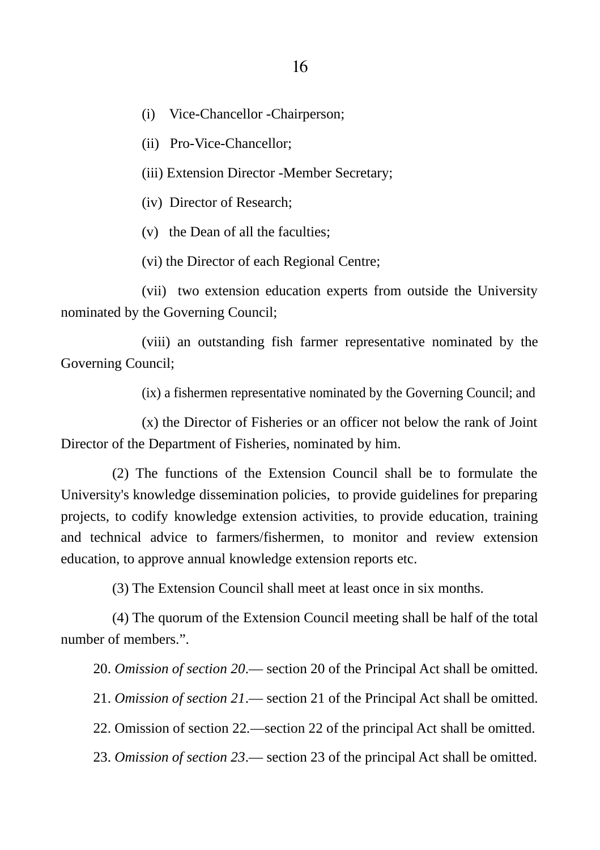(i) Vice-Chancellor -Chairperson;

(ii) Pro-Vice-Chancellor;

(iii) Extension Director -Member Secretary;

(iv) Director of Research;

(v) the Dean of all the faculties;

(vi) the Director of each Regional Centre;

(vii) two extension education experts from outside the University nominated by the Governing Council;

(viii) an outstanding fish farmer representative nominated by the Governing Council;

(ix) a fishermen representative nominated by the Governing Council; and

(x) the Director of Fisheries or an officer not below the rank of Joint Director of the Department of Fisheries, nominated by him.

(2) The functions of the Extension Council shall be to formulate the University's knowledge dissemination policies, to provide guidelines for preparing projects, to codify knowledge extension activities, to provide education, training and technical advice to farmers/fishermen, to monitor and review extension education, to approve annual knowledge extension reports etc.

(3) The Extension Council shall meet at least once in six months.

(4) The quorum of the Extension Council meeting shall be half of the total number of members.".

20. *Omission of section 20*.― section 20 of the Principal Act shall be omitted.

21. *Omission of section 21*.― section 21 of the Principal Act shall be omitted.

22. Omission of section 22*.*―section 22 of the principal Act shall be omitted.

23. *Omission of section 23*.― section 23 of the principal Act shall be omitted.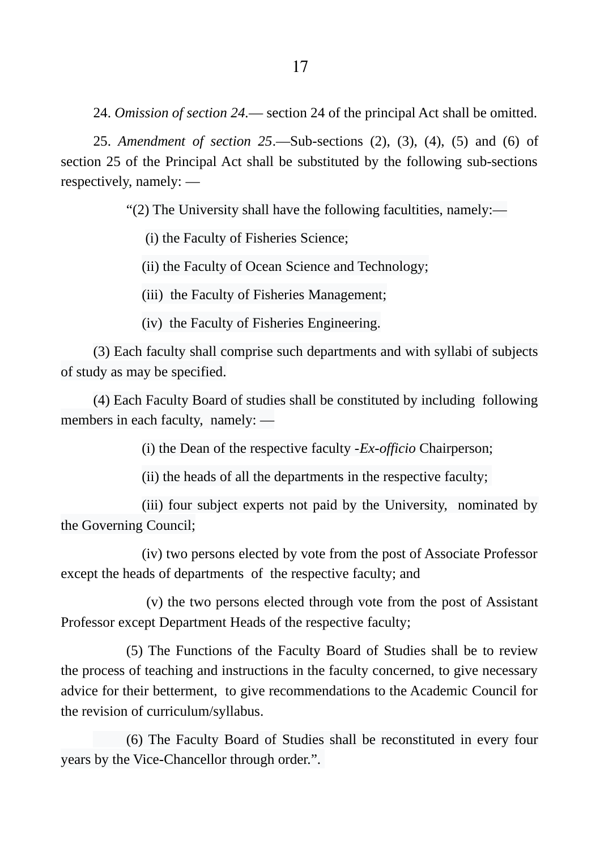25. *Amendment of section 25*.―Sub-sections (2), (3), (4), (5) and (6) of section 25 of the Principal Act shall be substituted by the following sub-sections respectively, namely: ―

"(2) The University shall have the following facultities, namely:―

(i) the Faculty of Fisheries Science;

(ii) the Faculty of Ocean Science and Technology;

(iii) the Faculty of Fisheries Management;

(iv) the Faculty of Fisheries Engineering.

(3) Each faculty shall comprise such departments and with syllabi of subjects of study as may be specified.

(4) Each Faculty Board of studies shall be constituted by including following members in each faculty, namely: ―

(i) the Dean of the respective faculty -*Ex-officio* Chairperson;

(ii) the heads of all the departments in the respective faculty;

(iii) four subject experts not paid by the University, nominated by the Governing Council;

(iv) two persons elected by vote from the post of Associate Professor except the heads of departments of the respective faculty; and

 (v) the two persons elected through vote from the post of Assistant Professor except Department Heads of the respective faculty;

(5) The Functions of the Faculty Board of Studies shall be to review the process of teaching and instructions in the faculty concerned, to give necessary advice for their betterment, to give recommendations to the Academic Council for the revision of curriculum/syllabus.

(6) The Faculty Board of Studies shall be reconstituted in every four years by the Vice-Chancellor through order.".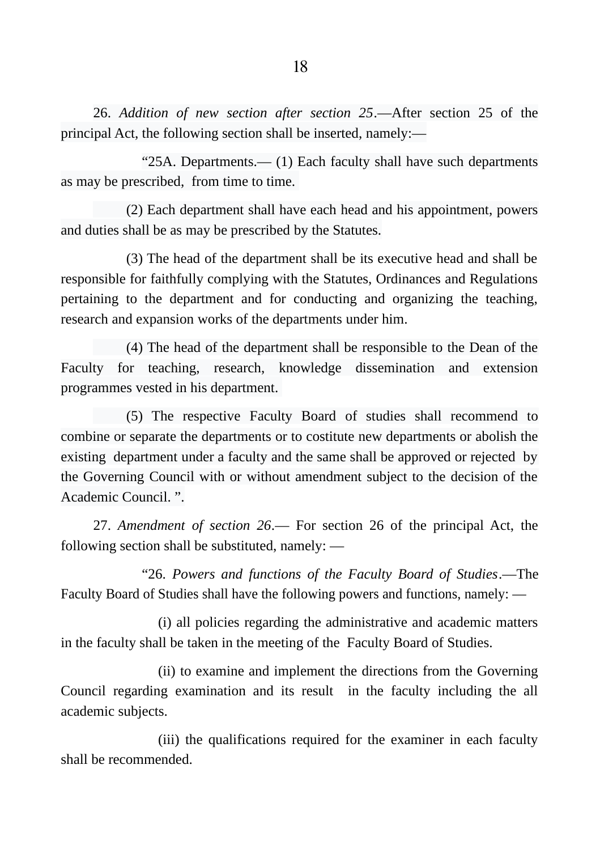26. *Addition of new section after section 25*.―After section 25 of the principal Act, the following section shall be inserted, namely:―

"25A. Departments.― (1) Each faculty shall have such departments as may be prescribed, from time to time.

(2) Each department shall have each head and his appointment, powers and duties shall be as may be prescribed by the Statutes.

(3) The head of the department shall be its executive head and shall be responsible for faithfully complying with the Statutes, Ordinances and Regulations pertaining to the department and for conducting and organizing the teaching, research and expansion works of the departments under him.

(4) The head of the department shall be responsible to the Dean of the Faculty for teaching, research, knowledge dissemination and extension programmes vested in his department.

(5) The respective Faculty Board of studies shall recommend to combine or separate the departments or to costitute new departments or abolish the existing department under a faculty and the same shall be approved or rejected by the Governing Council with or without amendment subject to the decision of the Academic Council. ".

27. *Amendment of section 26*.― For section 26 of the principal Act, the following section shall be substituted, namely: ―

"26. *Powers and functions of the Faculty Board of Studies*.―The Faculty Board of Studies shall have the following powers and functions, namely: ―

(i) all policies regarding the administrative and academic matters in the faculty shall be taken in the meeting of the Faculty Board of Studies.

(ii) to examine and implement the directions from the Governing Council regarding examination and its result in the faculty including the all academic subjects.

(iii) the qualifications required for the examiner in each faculty shall be recommended.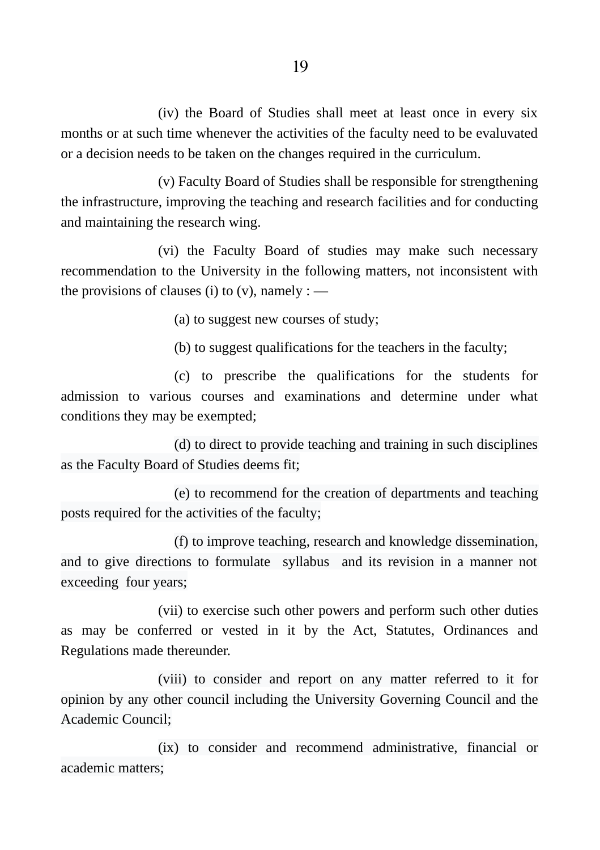(iv) the Board of Studies shall meet at least once in every six months or at such time whenever the activities of the faculty need to be evaluvated or a decision needs to be taken on the changes required in the curriculum.

(v) Faculty Board of Studies shall be responsible for strengthening the infrastructure, improving the teaching and research facilities and for conducting and maintaining the research wing.

(vi) the Faculty Board of studies may make such necessary recommendation to the University in the following matters, not inconsistent with the provisions of clauses (i) to  $(v)$ , namely : —

(a) to suggest new courses of study;

(b) to suggest qualifications for the teachers in the faculty;

(c) to prescribe the qualifications for the students for admission to various courses and examinations and determine under what conditions they may be exempted;

(d) to direct to provide teaching and training in such disciplines as the Faculty Board of Studies deems fit;

(e) to recommend for the creation of departments and teaching posts required for the activities of the faculty;

(f) to improve teaching, research and knowledge dissemination, and to give directions to formulate syllabus and its revision in a manner not exceeding four years;

(vii) to exercise such other powers and perform such other duties as may be conferred or vested in it by the Act, Statutes, Ordinances and Regulations made thereunder.

(viii) to consider and report on any matter referred to it for opinion by any other council including the University Governing Council and the Academic Council;

(ix) to consider and recommend administrative, financial or academic matters;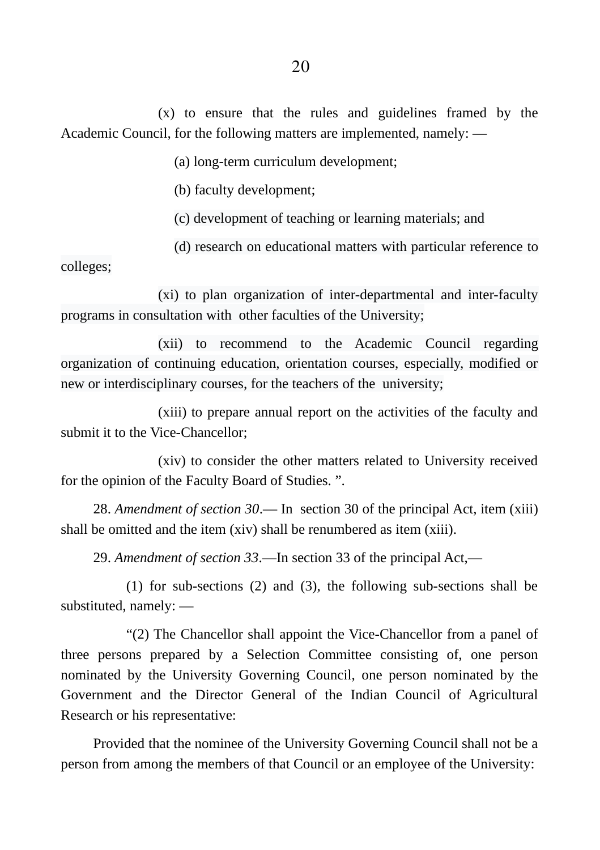(x) to ensure that the rules and guidelines framed by the Academic Council, for the following matters are implemented, namely: ―

(a) long-term curriculum development;

(b) faculty development;

(c) development of teaching or learning materials; and

(d) research on educational matters with particular reference to

colleges;

(xi) to plan organization of inter-departmental and inter-faculty programs in consultation with other faculties of the University;

(xii) to recommend to the Academic Council regarding organization of continuing education, orientation courses, especially, modified or new or interdisciplinary courses, for the teachers of the university;

(xiii) to prepare annual report on the activities of the faculty and submit it to the Vice-Chancellor;

(xiv) to consider the other matters related to University received for the opinion of the Faculty Board of Studies. ".

28. *Amendment of section 30*.― In section 30 of the principal Act, item (xiii) shall be omitted and the item (xiv) shall be renumbered as item (xiii).

29. *Amendment of section 33*.―In section 33 of the principal Act,―

(1) for sub-sections (2) and (3), the following sub-sections shall be substituted, namely: ―

"(2) The Chancellor shall appoint the Vice-Chancellor from a panel of three persons prepared by a Selection Committee consisting of, one person nominated by the University Governing Council, one person nominated by the Government and the Director General of the Indian Council of Agricultural Research or his representative:

Provided that the nominee of the University Governing Council shall not be a person from among the members of that Council or an employee of the University: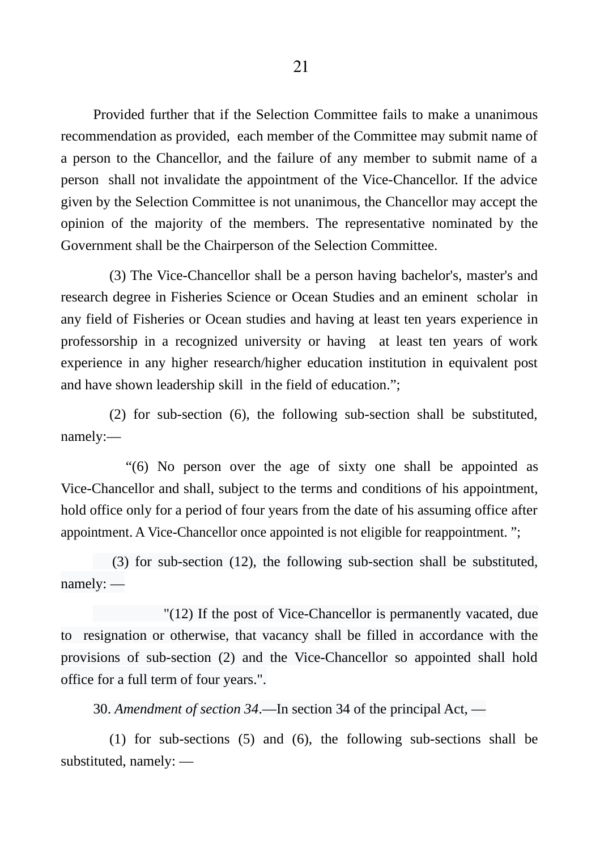Provided further that if the Selection Committee fails to make a unanimous recommendation as provided, each member of the Committee may submit name of a person to the Chancellor, and the failure of any member to submit name of a person shall not invalidate the appointment of the Vice-Chancellor. If the advice given by the Selection Committee is not unanimous, the Chancellor may accept the opinion of the majority of the members. The representative nominated by the Government shall be the Chairperson of the Selection Committee.

(3) The Vice-Chancellor shall be a person having bachelor's, master's and research degree in Fisheries Science or Ocean Studies and an eminent scholar in any field of Fisheries or Ocean studies and having at least ten years experience in professorship in a recognized university or having at least ten years of work experience in any higher research/higher education institution in equivalent post and have shown leadership skill in the field of education.";

(2) for sub-section (6), the following sub-section shall be substituted, namely:―

"(6) No person over the age of sixty one shall be appointed as Vice-Chancellor and shall, subject to the terms and conditions of his appointment, hold office only for a period of four years from the date of his assuming office after appointment. A Vice-Chancellor once appointed is not eligible for reappointment. ";

(3) for sub-section (12), the following sub-section shall be substituted, namely: ―

"(12) If the post of Vice-Chancellor is permanently vacated, due to resignation or otherwise, that vacancy shall be filled in accordance with the provisions of sub-section (2) and the Vice-Chancellor so appointed shall hold office for a full term of four years.".

30. *Amendment of section 34*.―In section 34 of the principal Act, ―

(1) for sub-sections (5) and (6), the following sub-sections shall be substituted, namely: ―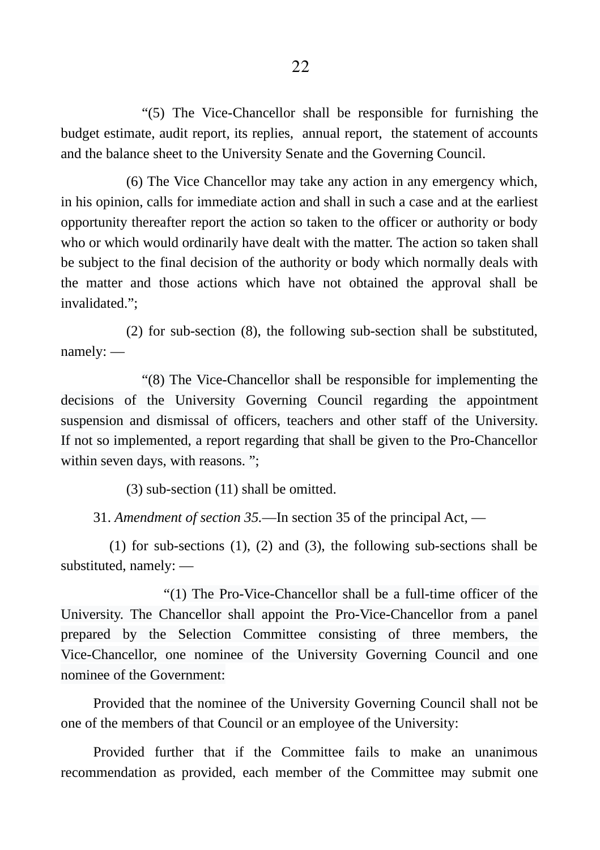"(5) The Vice-Chancellor shall be responsible for furnishing the budget estimate, audit report, its replies, annual report, the statement of accounts and the balance sheet to the University Senate and the Governing Council.

(6) The Vice Chancellor may take any action in any emergency which, in his opinion, calls for immediate action and shall in such a case and at the earliest opportunity thereafter report the action so taken to the officer or authority or body who or which would ordinarily have dealt with the matter. The action so taken shall be subject to the final decision of the authority or body which normally deals with the matter and those actions which have not obtained the approval shall be invalidated.";

(2) for sub-section (8), the following sub-section shall be substituted, namely: ―

"(8) The Vice-Chancellor shall be responsible for implementing the decisions of the University Governing Council regarding the appointment suspension and dismissal of officers, teachers and other staff of the University. If not so implemented, a report regarding that shall be given to the Pro-Chancellor within seven days, with reasons. ";

(3) sub-section (11) shall be omitted.

31. *Amendment of section 35.―*In section 35 of the principal Act, ―

(1) for sub-sections (1), (2) and (3), the following sub-sections shall be substituted, namely: ―

"(1) The Pro-Vice-Chancellor shall be a full-time officer of the University. The Chancellor shall appoint the Pro-Vice-Chancellor from a panel prepared by the Selection Committee consisting of three members, the Vice-Chancellor, one nominee of the University Governing Council and one nominee of the Government:

Provided that the nominee of the University Governing Council shall not be one of the members of that Council or an employee of the University:

Provided further that if the Committee fails to make an unanimous recommendation as provided, each member of the Committee may submit one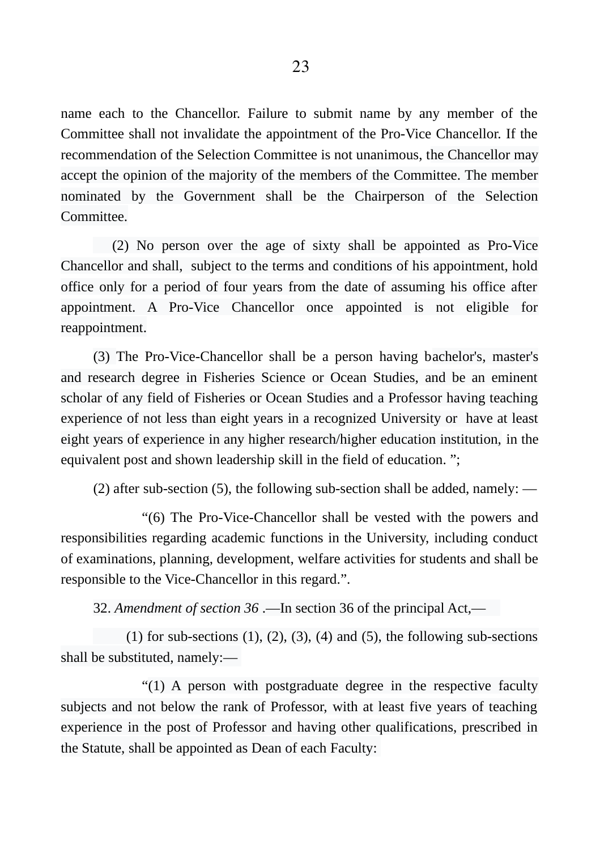name each to the Chancellor. Failure to submit name by any member of the Committee shall not invalidate the appointment of the Pro-Vice Chancellor. If the recommendation of the Selection Committee is not unanimous, the Chancellor may accept the opinion of the majority of the members of the Committee. The member nominated by the Government shall be the Chairperson of the Selection Committee.

(2) No person over the age of sixty shall be appointed as Pro-Vice Chancellor and shall, subject to the terms and conditions of his appointment, hold office only for a period of four years from the date of assuming his office after appointment. A Pro-Vice Chancellor once appointed is not eligible for reappointment.

(3) The Pro-Vice-Chancellor shall be a person having bachelor's, master's and research degree in Fisheries Science or Ocean Studies, and be an eminent scholar of any field of Fisheries or Ocean Studies and a Professor having teaching experience of not less than eight years in a recognized University or have at least eight years of experience in any higher research/higher education institution, in the equivalent post and shown leadership skill in the field of education. ";

(2) after sub-section (5), the following sub-section shall be added, namely: ―

"(6) The Pro-Vice-Chancellor shall be vested with the powers and responsibilities regarding academic functions in the University, including conduct of examinations, planning, development, welfare activities for students and shall be responsible to the Vice-Chancellor in this regard.".

32. *Amendment of section 36* .―In section 36 of the principal Act,―

(1) for sub-sections  $(1)$ ,  $(2)$ ,  $(3)$ ,  $(4)$  and  $(5)$ , the following sub-sections shall be substituted, namely:―

"(1) A person with postgraduate degree in the respective faculty subjects and not below the rank of Professor, with at least five years of teaching experience in the post of Professor and having other qualifications, prescribed in the Statute, shall be appointed as Dean of each Faculty: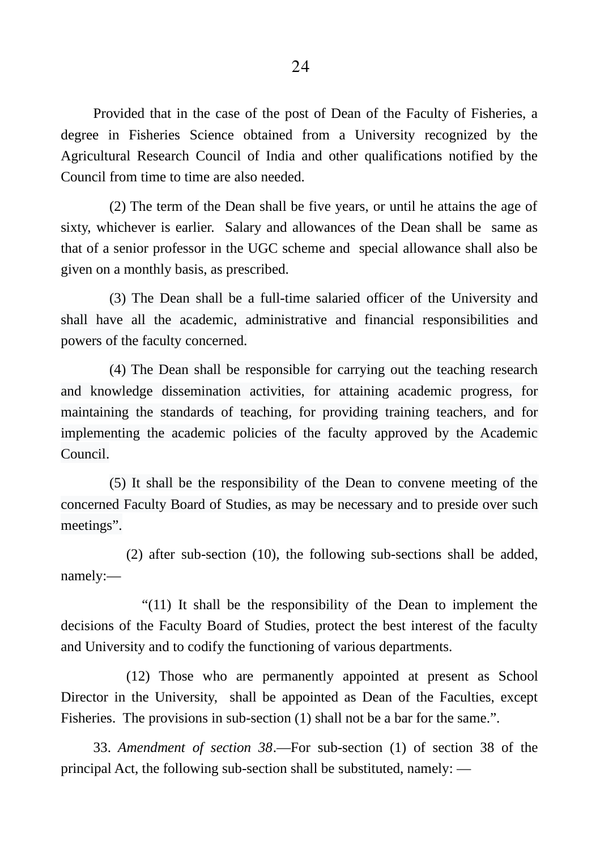Provided that in the case of the post of Dean of the Faculty of Fisheries, a degree in Fisheries Science obtained from a University recognized by the Agricultural Research Council of India and other qualifications notified by the Council from time to time are also needed.

(2) The term of the Dean shall be five years, or until he attains the age of sixty, whichever is earlier. Salary and allowances of the Dean shall be same as that of a senior professor in the UGC scheme and special allowance shall also be given on a monthly basis, as prescribed.

(3) The Dean shall be a full-time salaried officer of the University and shall have all the academic, administrative and financial responsibilities and powers of the faculty concerned.

(4) The Dean shall be responsible for carrying out the teaching research and knowledge dissemination activities, for attaining academic progress, for maintaining the standards of teaching, for providing training teachers, and for implementing the academic policies of the faculty approved by the Academic Council.

(5) It shall be the responsibility of the Dean to convene meeting of the concerned Faculty Board of Studies, as may be necessary and to preside over such meetings".

(2) after sub-section (10), the following sub-sections shall be added, namely:―

"(11) It shall be the responsibility of the Dean to implement the decisions of the Faculty Board of Studies, protect the best interest of the faculty and University and to codify the functioning of various departments.

(12) Those who are permanently appointed at present as School Director in the University, shall be appointed as Dean of the Faculties, except Fisheries. The provisions in sub-section (1) shall not be a bar for the same.".

33. *Amendment of section 38*.―For sub-section (1) of section 38 of the principal Act, the following sub-section shall be substituted, namely: ―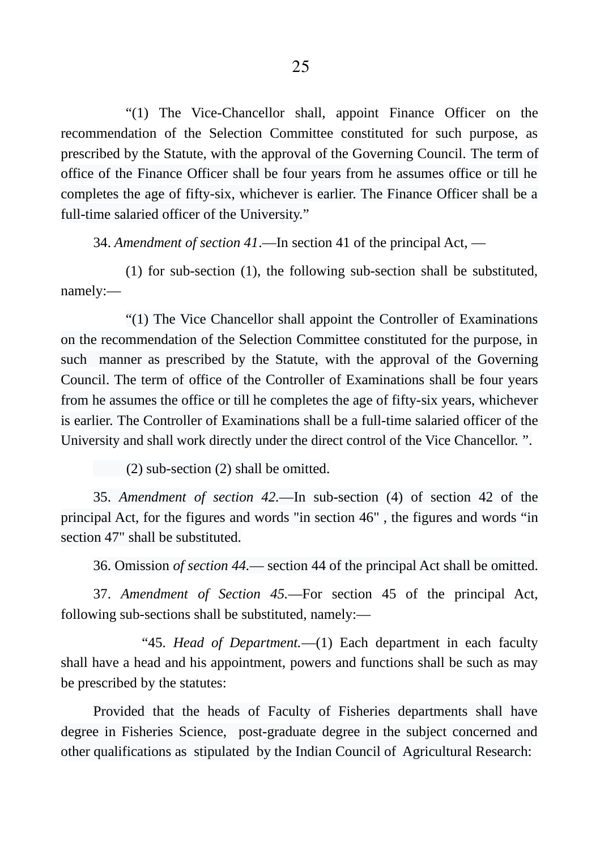"(1) The Vice-Chancellor shall, appoint Finance Officer on the recommendation of the Selection Committee constituted for such purpose, as prescribed by the Statute, with the approval of the Governing Council. The term of office of the Finance Officer shall be four years from he assumes office or till he completes the age of fifty-six, whichever is earlier. The Finance Officer shall be a full-time salaried officer of the University."

34. *Amendment of section 41*.―In section 41 of the principal Act, ―

(1) for sub-section (1), the following sub-section shall be substituted, namely:―

"(1) The Vice Chancellor shall appoint the Controller of Examinations on the recommendation of the Selection Committee constituted for the purpose, in such manner as prescribed by the Statute, with the approval of the Governing Council. The term of office of the Controller of Examinations shall be four years from he assumes the office or till he completes the age of fifty-six years, whichever is earlier. The Controller of Examinations shall be a full-time salaried officer of the University and shall work directly under the direct control of the Vice Chancellor. ".

(2) sub-section (2) shall be omitted.

35. *Amendment of section 42.―*In sub-section (4) of section 42 of the principal Act, for the figures and words "in section 46" , the figures and words "in section 47" shall be substituted.

36. Omission *of section 44.*― section 44 of the principal Act shall be omitted.

37. *Amendment of Section 45.*―For section 45 of the principal Act, following sub-sections shall be substituted, namely:―

"45. *Head of Department.*―(1) Each department in each faculty shall have a head and his appointment, powers and functions shall be such as may be prescribed by the statutes:

Provided that the heads of Faculty of Fisheries departments shall have degree in Fisheries Science, post-graduate degree in the subject concerned and other qualifications as stipulated by the Indian Council of Agricultural Research: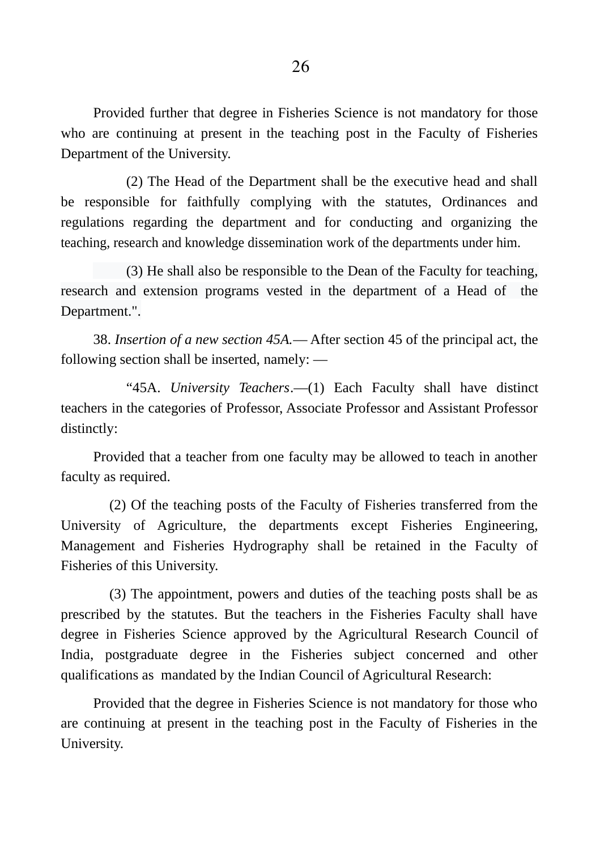Provided further that degree in Fisheries Science is not mandatory for those who are continuing at present in the teaching post in the Faculty of Fisheries Department of the University.

(2) The Head of the Department shall be the executive head and shall be responsible for faithfully complying with the statutes, Ordinances and regulations regarding the department and for conducting and organizing the teaching, research and knowledge dissemination work of the departments under him.

(3) He shall also be responsible to the Dean of the Faculty for teaching, research and extension programs vested in the department of a Head of the Department.".

38. *Insertion of a new section 45A.*― After section 45 of the principal act, the following section shall be inserted, namely: ―

"45A. *University Teachers*.―(1) Each Faculty shall have distinct teachers in the categories of Professor, Associate Professor and Assistant Professor distinctly:

Provided that a teacher from one faculty may be allowed to teach in another faculty as required.

(2) Of the teaching posts of the Faculty of Fisheries transferred from the University of Agriculture, the departments except Fisheries Engineering, Management and Fisheries Hydrography shall be retained in the Faculty of Fisheries of this University.

(3) The appointment, powers and duties of the teaching posts shall be as prescribed by the statutes. But the teachers in the Fisheries Faculty shall have degree in Fisheries Science approved by the Agricultural Research Council of India, postgraduate degree in the Fisheries subject concerned and other qualifications as mandated by the Indian Council of Agricultural Research:

Provided that the degree in Fisheries Science is not mandatory for those who are continuing at present in the teaching post in the Faculty of Fisheries in the University.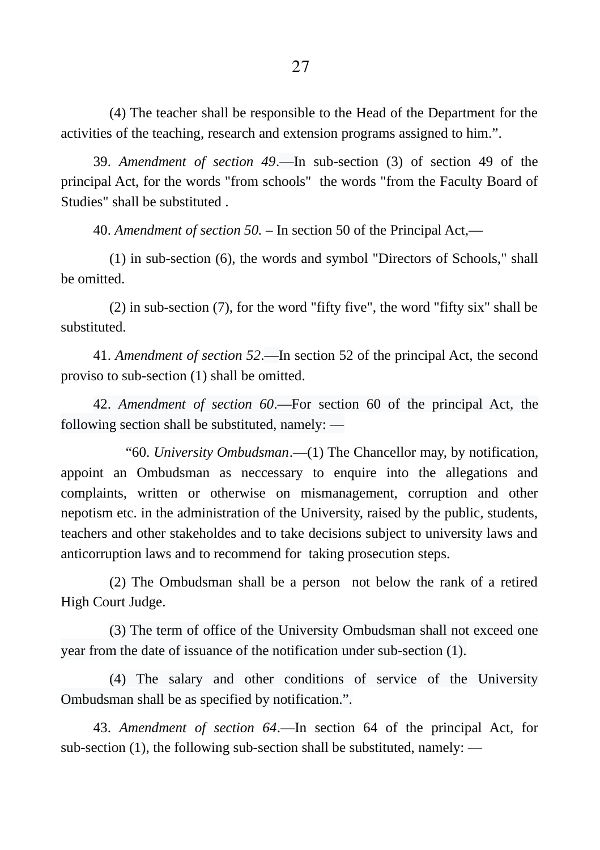(4) The teacher shall be responsible to the Head of the Department for the activities of the teaching, research and extension programs assigned to him.".

39. *Amendment of section 49*.―In sub-section (3) of section 49 of the principal Act, for the words "from schools" the words "from the Faculty Board of Studies" shall be substituted

40. *Amendment of section 50.* – In section 50 of the Principal Act,―

(1) in sub-section (6), the words and symbol "Directors of Schools," shall be omitted.

(2) in sub-section (7), for the word "fifty five", the word "fifty six" shall be substituted.

41. *Amendment of section 52*.―In section 52 of the principal Act, the second proviso to sub-section (1) shall be omitted.

42. *Amendment of section 60*.―For section 60 of the principal Act, the following section shall be substituted, namely: ―

"60. *University Ombudsman*.―(1) The Chancellor may, by notification, appoint an Ombudsman as neccessary to enquire into the allegations and complaints, written or otherwise on mismanagement, corruption and other nepotism etc. in the administration of the University, raised by the public, students, teachers and other stakeholdes and to take decisions subject to university laws and anticorruption laws and to recommend for taking prosecution steps.

(2) The Ombudsman shall be a person not below the rank of a retired High Court Judge.

(3) The term of office of the University Ombudsman shall not exceed one year from the date of issuance of the notification under sub-section (1).

(4) The salary and other conditions of service of the University Ombudsman shall be as specified by notification.".

43. *Amendment of section 64*.―In section 64 of the principal Act, for sub-section (1), the following sub-section shall be substituted, namely: ―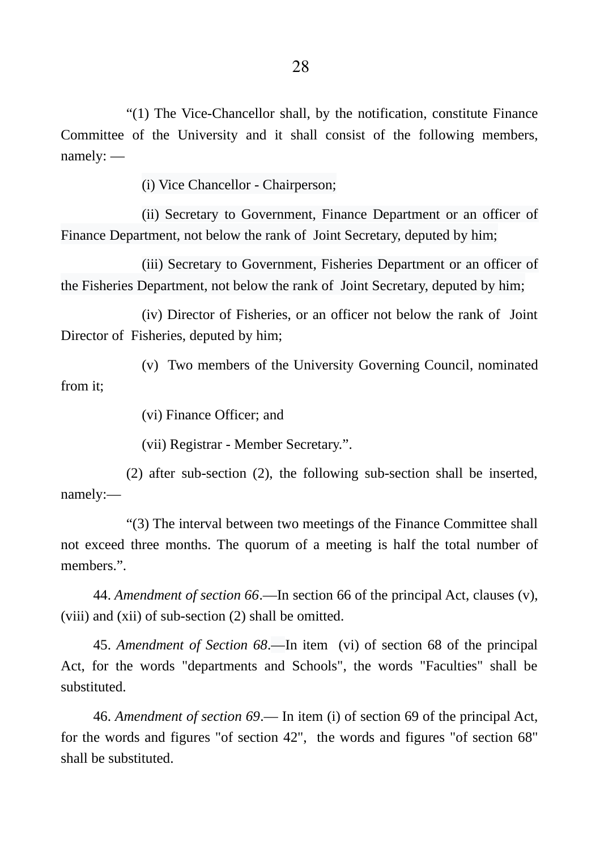"(1) The Vice-Chancellor shall, by the notification, constitute Finance Committee of the University and it shall consist of the following members, namely: ―

(i) Vice Chancellor - Chairperson;

(ii) Secretary to Government, Finance Department or an officer of Finance Department, not below the rank of Joint Secretary, deputed by him;

(iii) Secretary to Government, Fisheries Department or an officer of the Fisheries Department, not below the rank of Joint Secretary, deputed by him;

(iv) Director of Fisheries, or an officer not below the rank of Joint Director of Fisheries, deputed by him;

(v) Two members of the University Governing Council, nominated from it;

(vi) Finance Officer; and

(vii) Registrar - Member Secretary.".

(2) after sub-section (2), the following sub-section shall be inserted, namely:―

"(3) The interval between two meetings of the Finance Committee shall not exceed three months. The quorum of a meeting is half the total number of members.".

44. *Amendment of section 66*.―In section 66 of the principal Act, clauses (v), (viii) and (xii) of sub-section (2) shall be omitted.

45. *Amendment of Section 68*.―In item (vi) of section 68 of the principal Act, for the words "departments and Schools", the words "Faculties" shall be substituted.

46. *Amendment of section 69*.― In item (i) of section 69 of the principal Act, for the words and figures "of section 42", the words and figures "of section 68" shall be substituted.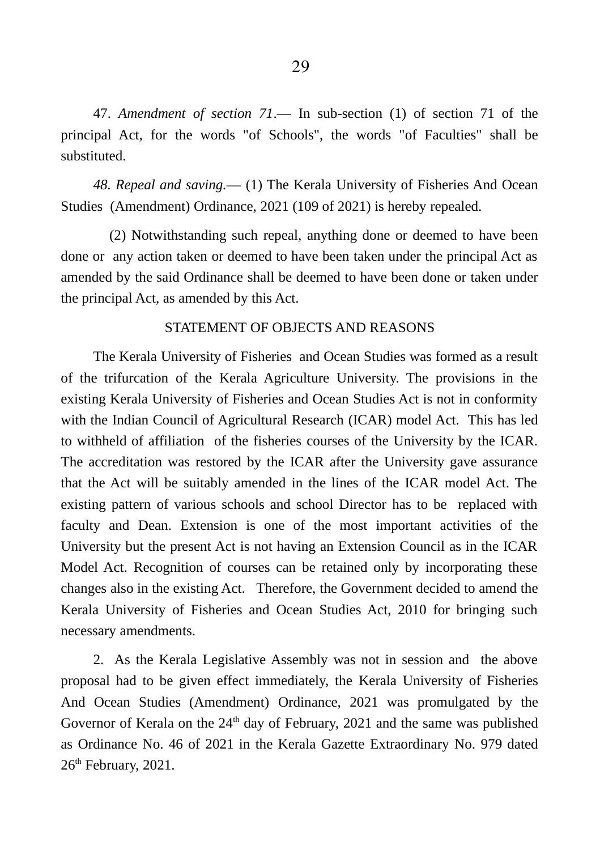47. *Amendment of section 71*.― In sub-section (1) of section 71 of the principal Act, for the words "of Schools", the words "of Faculties" shall be substituted.

*48. Repeal and saving.―* (1) The Kerala University of Fisheries And Ocean Studies (Amendment) Ordinance, 2021 (109 of 2021) is hereby repealed.

(2) Notwithstanding such repeal, anything done or deemed to have been done or any action taken or deemed to have been taken under the principal Act as amended by the said Ordinance shall be deemed to have been done or taken under the principal Act, as amended by this Act.

#### STATEMENT OF OBJECTS AND REASONS

The Kerala University of Fisheries and Ocean Studies was formed as a result of the trifurcation of the Kerala Agriculture University. The provisions in the existing Kerala University of Fisheries and Ocean Studies Act is not in conformity with the Indian Council of Agricultural Research (ICAR) model Act. This has led to withheld of affiliation of the fisheries courses of the University by the ICAR. The accreditation was restored by the ICAR after the University gave assurance that the Act will be suitably amended in the lines of the ICAR model Act. The existing pattern of various schools and school Director has to be replaced with faculty and Dean. Extension is one of the most important activities of the University but the present Act is not having an Extension Council as in the ICAR Model Act. Recognition of courses can be retained only by incorporating these changes also in the existing Act. Therefore, the Government decided to amend the Kerala University of Fisheries and Ocean Studies Act, 2010 for bringing such necessary amendments.

2. As the Kerala Legislative Assembly was not in session and the above proposal had to be given effect immediately, the Kerala University of Fisheries And Ocean Studies (Amendment) Ordinance, 2021 was promulgated by the Governor of Kerala on the  $24<sup>th</sup>$  day of February, 2021 and the same was published as Ordinance No. 46 of 2021 in the Kerala Gazette Extraordinary No. 979 dated  $26<sup>th</sup>$  February, 2021.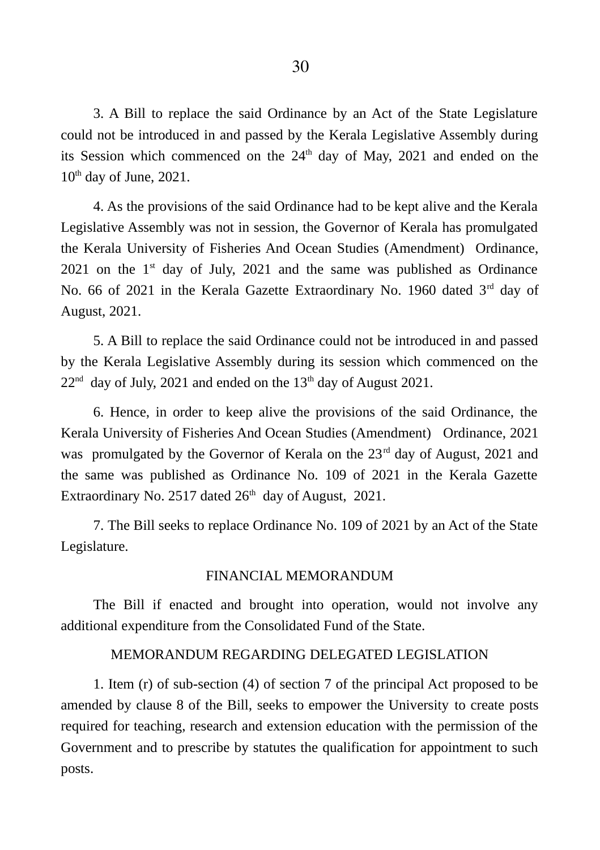3. A Bill to replace the said Ordinance by an Act of the State Legislature could not be introduced in and passed by the Kerala Legislative Assembly during its Session which commenced on the  $24<sup>th</sup>$  day of May, 2021 and ended on the  $10<sup>th</sup>$  day of June, 2021.

4. As the provisions of the said Ordinance had to be kept alive and the Kerala Legislative Assembly was not in session, the Governor of Kerala has promulgated the Kerala University of Fisheries And Ocean Studies (Amendment) Ordinance, 2021 on the  $1<sup>st</sup>$  day of July, 2021 and the same was published as Ordinance No. 66 of 2021 in the Kerala Gazette Extraordinary No. 1960 dated 3<sup>rd</sup> day of August, 2021.

5. A Bill to replace the said Ordinance could not be introduced in and passed by the Kerala Legislative Assembly during its session which commenced on the  $22<sup>nd</sup>$  day of July, 2021 and ended on the 13<sup>th</sup> day of August 2021.

6. Hence, in order to keep alive the provisions of the said Ordinance, the Kerala University of Fisheries And Ocean Studies (Amendment) Ordinance, 2021 was promulgated by the Governor of Kerala on the  $23<sup>rd</sup>$  day of August, 2021 and the same was published as Ordinance No. 109 of 2021 in the Kerala Gazette Extraordinary No. 2517 dated  $26<sup>th</sup>$  day of August, 2021.

7. The Bill seeks to replace Ordinance No. 109 of 2021 by an Act of the State Legislature.

#### FINANCIAL MEMORANDUM

The Bill if enacted and brought into operation, would not involve any additional expenditure from the Consolidated Fund of the State.

#### MEMORANDUM REGARDING DELEGATED LEGISLATION

1. Item (r) of sub-section (4) of section 7 of the principal Act proposed to be amended by clause 8 of the Bill, seeks to empower the University to create posts required for teaching, research and extension education with the permission of the Government and to prescribe by statutes the qualification for appointment to such posts.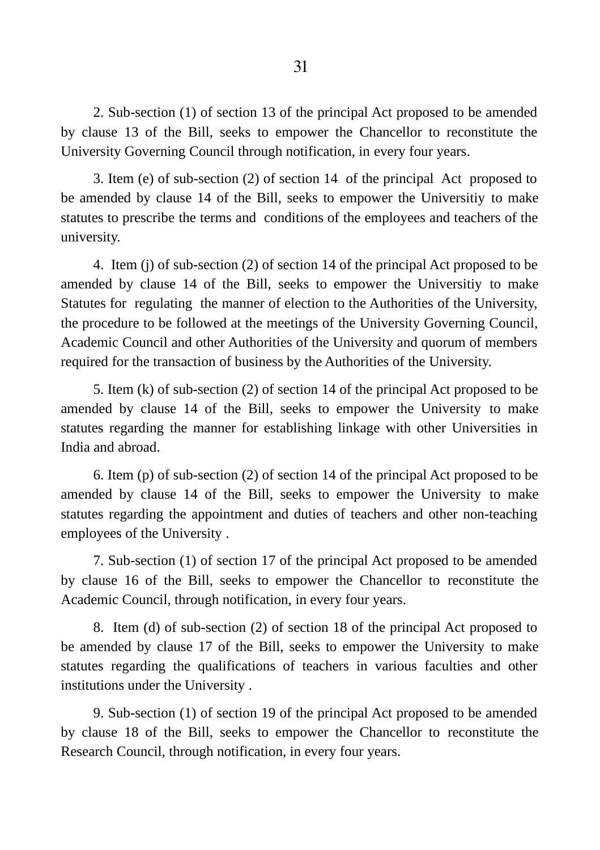2. Sub-section (1) of section 13 of the principal Act proposed to be amended by clause 13 of the Bill, seeks to empower the Chancellor to reconstitute the University Governing Council through notification, in every four years.

3. Item (e) of sub-section (2) of section 14 of the principal Act proposed to be amended by clause 14 of the Bill, seeks to empower the Universitiy to make statutes to prescribe the terms and conditions of the employees and teachers of the university.

4. Item (j) of sub-section (2) of section 14 of the principal Act proposed to be amended by clause 14 of the Bill, seeks to empower the Universitiy to make Statutes for regulating the manner of election to the Authorities of the University, the procedure to be followed at the meetings of the University Governing Council, Academic Council and other Authorities of the University and quorum of members required for the transaction of business by the Authorities of the University.

5. Item (k) of sub-section (2) of section 14 of the principal Act proposed to be amended by clause 14 of the Bill, seeks to empower the University to make statutes regarding the manner for establishing linkage with other Universities in India and abroad.

6. Item (p) of sub-section (2) of section 14 of the principal Act proposed to be amended by clause 14 of the Bill, seeks to empower the University to make statutes regarding the appointment and duties of teachers and other non-teaching employees of the University .

7. Sub-section (1) of section 17 of the principal Act proposed to be amended by clause 16 of the Bill, seeks to empower the Chancellor to reconstitute the Academic Council, through notification, in every four years.

8. Item (d) of sub-section (2) of section 18 of the principal Act proposed to be amended by clause 17 of the Bill, seeks to empower the University to make statutes regarding the qualifications of teachers in various faculties and other institutions under the University .

9. Sub-section (1) of section 19 of the principal Act proposed to be amended by clause 18 of the Bill, seeks to empower the Chancellor to reconstitute the Research Council, through notification, in every four years.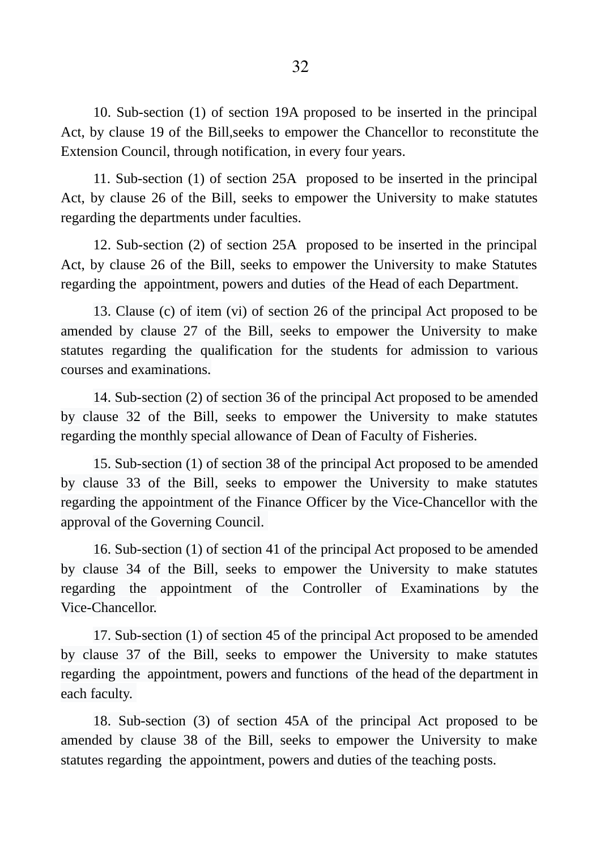10. Sub-section (1) of section 19A proposed to be inserted in the principal Act, by clause 19 of the Bill,seeks to empower the Chancellor to reconstitute the Extension Council, through notification, in every four years.

11. Sub-section (1) of section 25A proposed to be inserted in the principal Act, by clause 26 of the Bill, seeks to empower the University to make statutes regarding the departments under faculties.

12. Sub-section (2) of section 25A proposed to be inserted in the principal Act, by clause 26 of the Bill, seeks to empower the University to make Statutes regarding the appointment, powers and duties of the Head of each Department.

13. Clause (c) of item (vi) of section 26 of the principal Act proposed to be amended by clause 27 of the Bill, seeks to empower the University to make statutes regarding the qualification for the students for admission to various courses and examinations.

14. Sub-section (2) of section 36 of the principal Act proposed to be amended by clause 32 of the Bill, seeks to empower the University to make statutes regarding the monthly special allowance of Dean of Faculty of Fisheries.

15. Sub-section (1) of section 38 of the principal Act proposed to be amended by clause 33 of the Bill, seeks to empower the University to make statutes regarding the appointment of the Finance Officer by the Vice-Chancellor with the approval of the Governing Council.

16. Sub-section (1) of section 41 of the principal Act proposed to be amended by clause 34 of the Bill, seeks to empower the University to make statutes regarding the appointment of the Controller of Examinations by the Vice-Chancellor.

17. Sub-section (1) of section 45 of the principal Act proposed to be amended by clause 37 of the Bill, seeks to empower the University to make statutes regarding the appointment, powers and functions of the head of the department in each faculty.

18. Sub-section (3) of section 45A of the principal Act proposed to be amended by clause 38 of the Bill, seeks to empower the University to make statutes regarding the appointment, powers and duties of the teaching posts.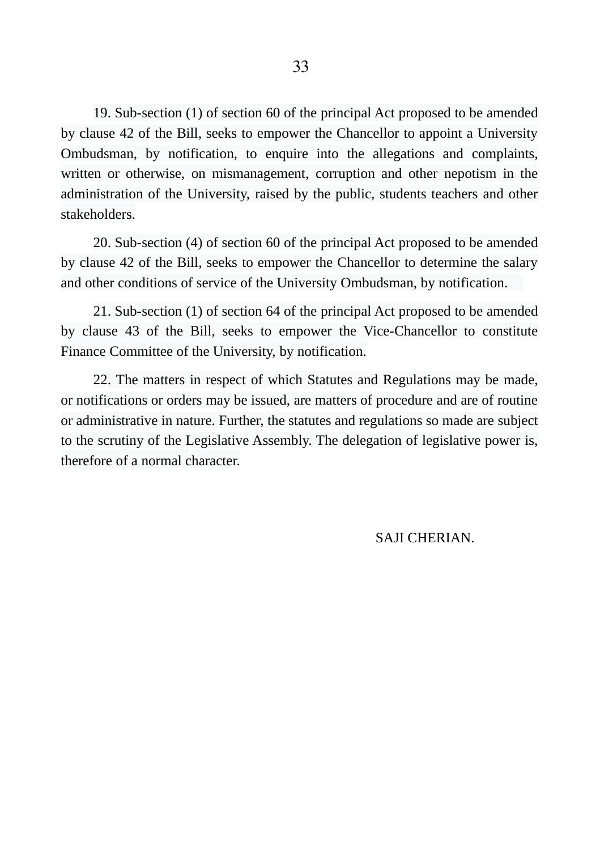19. Sub-section (1) of section 60 of the principal Act proposed to be amended by clause 42 of the Bill, seeks to empower the Chancellor to appoint a University Ombudsman, by notification, to enquire into the allegations and complaints, written or otherwise, on mismanagement, corruption and other nepotism in the administration of the University, raised by the public, students teachers and other stakeholders.

20. Sub-section (4) of section 60 of the principal Act proposed to be amended by clause 42 of the Bill, seeks to empower the Chancellor to determine the salary and other conditions of service of the University Ombudsman, by notification.

21. Sub-section (1) of section 64 of the principal Act proposed to be amended by clause 43 of the Bill, seeks to empower the Vice-Chancellor to constitute Finance Committee of the University, by notification.

22. The matters in respect of which Statutes and Regulations may be made, or notifications or orders may be issued, are matters of procedure and are of routine or administrative in nature. Further, the statutes and regulations so made are subject to the scrutiny of the Legislative Assembly. The delegation of legislative power is, therefore of a normal character.

SAJI CHERIAN.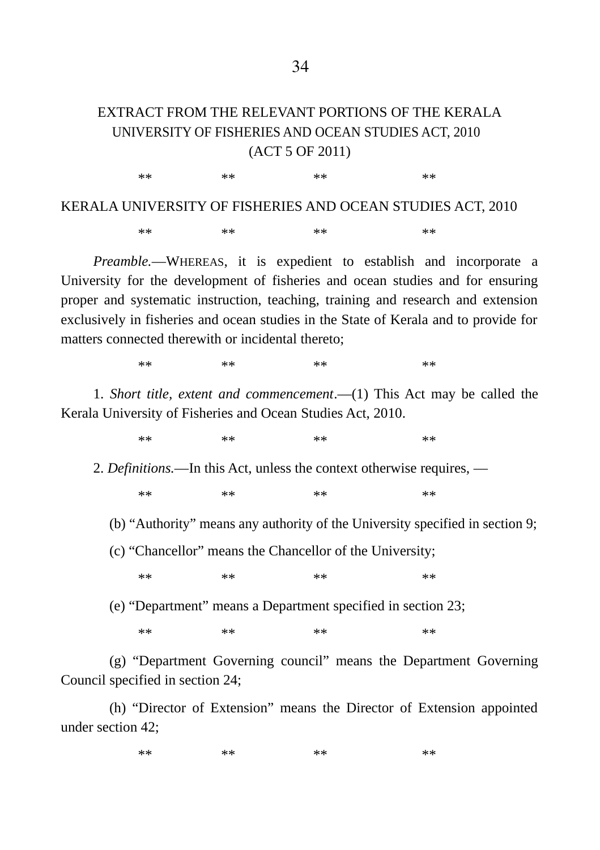## EXTRACT FROM THE RELEVANT PORTIONS OF THE KERALA UNIVERSITY OF FISHERIES AND OCEAN STUDIES ACT, 2010 (ACT 5 OF 2011)

KERALA UNIVERSITY OF FISHERIES AND OCEAN STUDIES ACT, 2010 \*\* \*\* \*\* \*\* \*\* \*\* \*\* \*\*

\*\* \*\* \*\* \*\* \*\* \*\* \*\* \*\*

*Preamble.―*WHEREAS, it is expedient to establish and incorporate a University for the development of fisheries and ocean studies and for ensuring proper and systematic instruction, teaching, training and research and extension exclusively in fisheries and ocean studies in the State of Kerala and to provide for matters connected therewith or incidental thereto;

\*\* \*\* \*\* \*\* \*\* \*\* \*\* \*\*

1. *Short title, extent and commencement*.―(1) This Act may be called the Kerala University of Fisheries and Ocean Studies Act, 2010.

\*\* \*\* \*\* \*\* \*\* \*\* \*\* \*\*

2. *Definitions.―*In this Act, unless the context otherwise requires, ―

\*\* \*\* \*\* \*\* \*\* \*\* \*\* \*\*

(b) "Authority" means any authority of the University specified in section 9;

(c) "Chancellor" means the Chancellor of the University;

\*\* \*\* \*\* \*\* \*\* \*\* \*\* \*\*

(e) "Department" means a Department specified in section 23;

\*\* \*\* \*\* \*\* \*\* \*\* \*\* \*\*

(g) "Department Governing council" means the Department Governing Council specified in section 24;

(h) "Director of Extension" means the Director of Extension appointed under section 42;

\*\* \*\* \*\* \*\* \*\* \*\* \*\* \*\*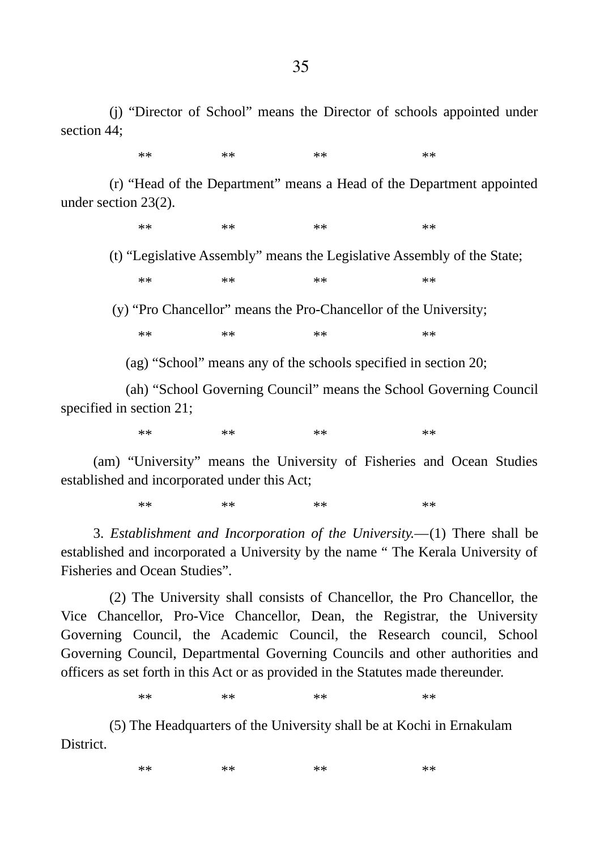(j) "Director of School" means the Director of schools appointed under section 44;

\*\* \*\* \*\* \*\* \*\* \*\* \*\* \*\*

(r) "Head of the Department" means a Head of the Department appointed under section 23(2).

\*\* \*\* \*\* \*\* \*\* \*\* \*\* \*\*

(t) "Legislative Assembly" means the Legislative Assembly of the State;

\*\* \*\* \*\* \*\* \*\* \*\* \*\* \*\*

(y) "Pro Chancellor" means the Pro-Chancellor of the University;

\*\* \*\* \*\* \*\* \*\* \*\* \*\* \*\*

(ag) "School" means any of the schools specified in section 20;

(ah) "School Governing Council" means the School Governing Council specified in section 21;

\*\* \*\* \*\* \*\* \*\* \*\* \*\* \*\*

(am) "University" means the University of Fisheries and Ocean Studies established and incorporated under this Act;

\*\* \*\* \*\* \*\* \*\* \*\* \*\* \*\*

3. *Establishment and Incorporation of the University.―*(1) There shall be established and incorporated a University by the name " The Kerala University of Fisheries and Ocean Studies".

(2) The University shall consists of Chancellor, the Pro Chancellor, the Vice Chancellor, Pro-Vice Chancellor, Dean, the Registrar, the University Governing Council, the Academic Council, the Research council, School Governing Council, Departmental Governing Councils and other authorities and officers as set forth in this Act or as provided in the Statutes made thereunder.

\*\* \*\* \*\* \*\* \*\* \*\* \*\* \*\*

(5) The Headquarters of the University shall be at Kochi in Ernakulam District.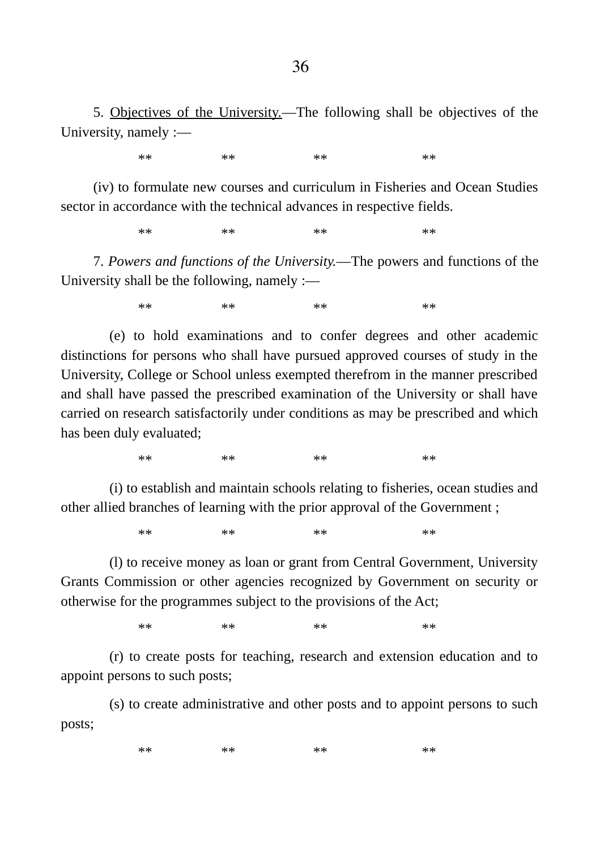5. Objectives of the University.―The following shall be objectives of the University, namely :―

\*\* \*\* \*\* \*\* \*\* \*\* \*\* \*\*

(iv) to formulate new courses and curriculum in Fisheries and Ocean Studies sector in accordance with the technical advances in respective fields.

\*\* \*\* \*\* \*\* \*\* \*\* \*\* \*\*

7. *Powers and functions of the University.―*The powers and functions of the University shall be the following, namely :―

\*\* \*\* \*\* \*\* \*\* \*\* \*\* \*\*

(e) to hold examinations and to confer degrees and other academic distinctions for persons who shall have pursued approved courses of study in the University, College or School unless exempted therefrom in the manner prescribed and shall have passed the prescribed examination of the University or shall have carried on research satisfactorily under conditions as may be prescribed and which has been duly evaluated;

\*\* \*\* \*\* \*\* \*\* \*\* \*\* \*\*

(i) to establish and maintain schools relating to fisheries, ocean studies and other allied branches of learning with the prior approval of the Government ;

\*\* \*\* \*\* \*\* \*\* \*\* \*\* \*\*

(l) to receive money as loan or grant from Central Government, University Grants Commission or other agencies recognized by Government on security or otherwise for the programmes subject to the provisions of the Act;

\*\* \*\* \*\* \*\* \*\* \*\* \*\* \*\*

(r) to create posts for teaching, research and extension education and to appoint persons to such posts;

(s) to create administrative and other posts and to appoint persons to such posts;

\*\* \*\* \*\* \*\* \*\* \*\* \*\* \*\*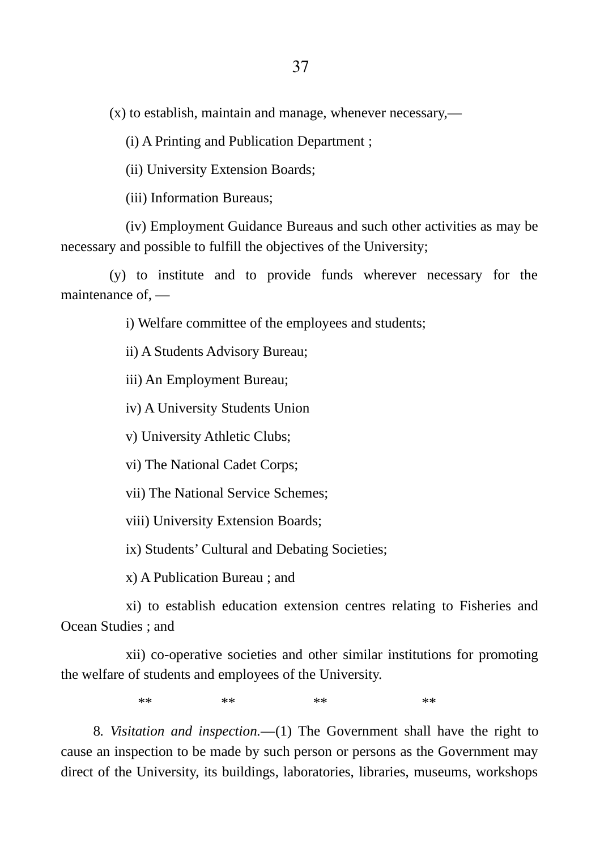(x) to establish, maintain and manage, whenever necessary,―

(i) A Printing and Publication Department ;

(ii) University Extension Boards;

(iii) Information Bureaus;

(iv) Employment Guidance Bureaus and such other activities as may be necessary and possible to fulfill the objectives of the University;

(y) to institute and to provide funds wherever necessary for the maintenance of, ―

i) Welfare committee of the employees and students;

ii) A Students Advisory Bureau;

iii) An Employment Bureau;

iv) A University Students Union

v) University Athletic Clubs;

vi) The National Cadet Corps;

vii) The National Service Schemes;

viii) University Extension Boards;

ix) Students' Cultural and Debating Societies;

x) A Publication Bureau ; and

xi) to establish education extension centres relating to Fisheries and Ocean Studies ; and

xii) co-operative societies and other similar institutions for promoting the welfare of students and employees of the University.

\*\* \*\* \*\* \*\* \*\* \*\* \*\* \*\*

8*. Visitation and inspection.―*(1) The Government shall have the right to cause an inspection to be made by such person or persons as the Government may direct of the University, its buildings, laboratories, libraries, museums, workshops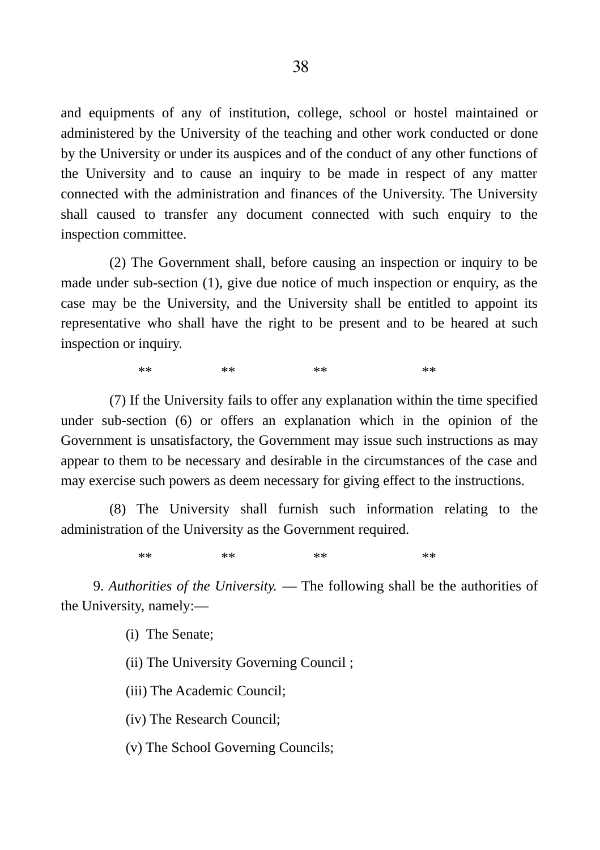and equipments of any of institution, college, school or hostel maintained or administered by the University of the teaching and other work conducted or done by the University or under its auspices and of the conduct of any other functions of the University and to cause an inquiry to be made in respect of any matter connected with the administration and finances of the University. The University shall caused to transfer any document connected with such enquiry to the inspection committee.

(2) The Government shall, before causing an inspection or inquiry to be made under sub-section (1), give due notice of much inspection or enquiry, as the case may be the University, and the University shall be entitled to appoint its representative who shall have the right to be present and to be heared at such inspection or inquiry.

\*\* \*\* \*\* \*\* \*\* \*\* \*\* \*\*

(7) If the University fails to offer any explanation within the time specified under sub-section (6) or offers an explanation which in the opinion of the Government is unsatisfactory, the Government may issue such instructions as may appear to them to be necessary and desirable in the circumstances of the case and may exercise such powers as deem necessary for giving effect to the instructions.

(8) The University shall furnish such information relating to the administration of the University as the Government required.

\*\* \*\* \*\* \*\* \*\* \*\* \*\* \*\*

9. *Authorities of the University.* ― The following shall be the authorities of the University, namely:―

(i) The Senate;

(ii) The University Governing Council ;

(iii) The Academic Council;

(iv) The Research Council;

(v) The School Governing Councils;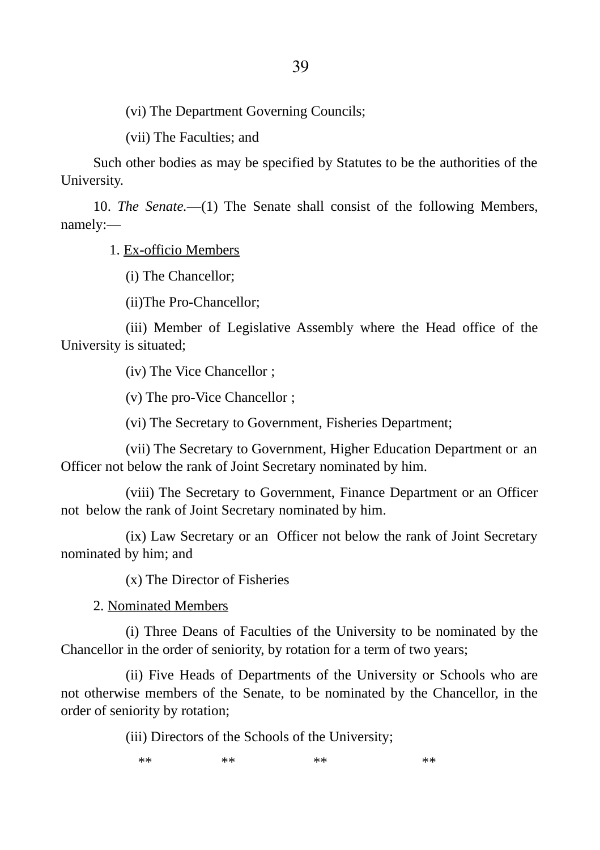(vi) The Department Governing Councils;

(vii) The Faculties; and

Such other bodies as may be specified by Statutes to be the authorities of the University.

10. *The Senate.―*(1) The Senate shall consist of the following Members, namely:―

1. Ex-officio Members

(i) The Chancellor;

(ii)The Pro-Chancellor;

(iii) Member of Legislative Assembly where the Head office of the University is situated;

(iv) The Vice Chancellor ;

(v) The pro-Vice Chancellor ;

(vi) The Secretary to Government, Fisheries Department;

(vii) The Secretary to Government, Higher Education Department or an Officer not below the rank of Joint Secretary nominated by him.

(viii) The Secretary to Government, Finance Department or an Officer not below the rank of Joint Secretary nominated by him.

(ix) Law Secretary or an Officer not below the rank of Joint Secretary nominated by him; and

(x) The Director of Fisheries

2. Nominated Members

(i) Three Deans of Faculties of the University to be nominated by the Chancellor in the order of seniority, by rotation for a term of two years;

(ii) Five Heads of Departments of the University or Schools who are not otherwise members of the Senate, to be nominated by the Chancellor, in the order of seniority by rotation;

(iii) Directors of the Schools of the University;

\*\* \*\* \*\* \*\* \*\* \*\* \*\* \*\*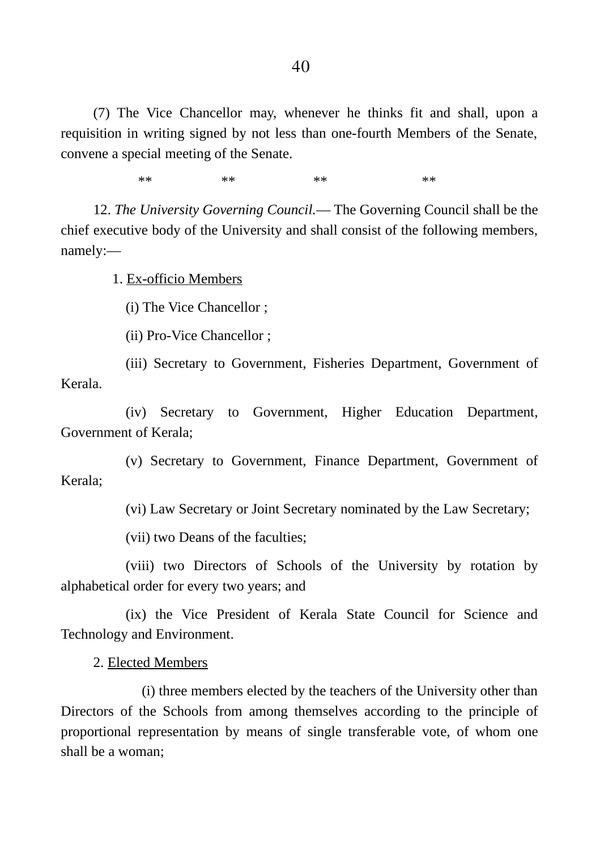(7) The Vice Chancellor may, whenever he thinks fit and shall, upon a requisition in writing signed by not less than one-fourth Members of the Senate, convene a special meeting of the Senate.

\*\* \*\* \*\* \*\* \*\* \*\* \*\* \*\*

12. *The University Governing Council.*― The Governing Council shall be the chief executive body of the University and shall consist of the following members, namely:―

1. Ex-officio Members

(i) The Vice Chancellor ;

(ii) Pro-Vice Chancellor ;

(iii) Secretary to Government, Fisheries Department, Government of Kerala.

(iv) Secretary to Government, Higher Education Department, Government of Kerala;

(v) Secretary to Government, Finance Department, Government of Kerala;

(vi) Law Secretary or Joint Secretary nominated by the Law Secretary;

(vii) two Deans of the faculties;

(viii) two Directors of Schools of the University by rotation by alphabetical order for every two years; and

(ix) the Vice President of Kerala State Council for Science and Technology and Environment.

2. Elected Members

(i) three members elected by the teachers of the University other than Directors of the Schools from among themselves according to the principle of proportional representation by means of single transferable vote, of whom one shall be a woman;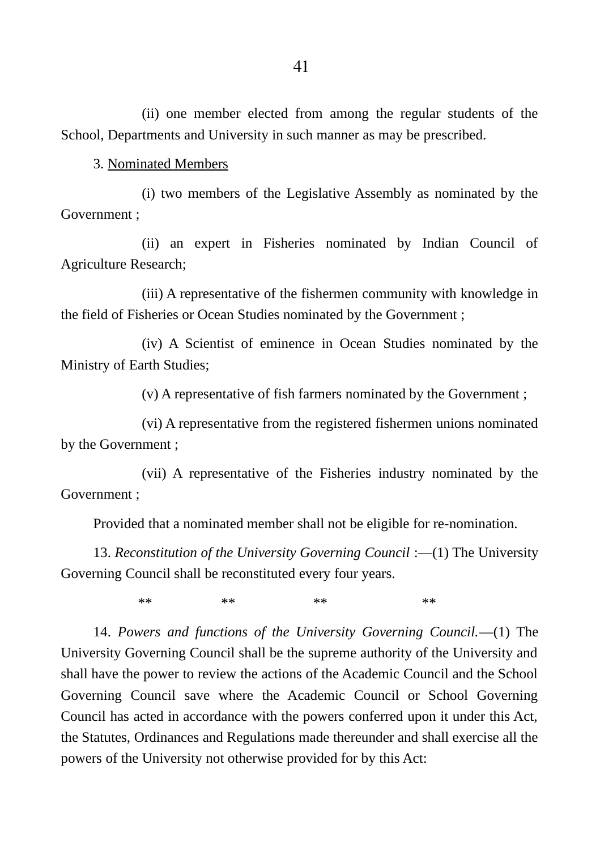(ii) one member elected from among the regular students of the School, Departments and University in such manner as may be prescribed.

3. Nominated Members

(i) two members of the Legislative Assembly as nominated by the Government ;

(ii) an expert in Fisheries nominated by Indian Council of Agriculture Research;

(iii) A representative of the fishermen community with knowledge in the field of Fisheries or Ocean Studies nominated by the Government ;

(iv) A Scientist of eminence in Ocean Studies nominated by the Ministry of Earth Studies;

(v) A representative of fish farmers nominated by the Government ;

(vi) A representative from the registered fishermen unions nominated by the Government ;

(vii) A representative of the Fisheries industry nominated by the Government ;

Provided that a nominated member shall not be eligible for re-nomination.

13. *Reconstitution of the University Governing Council* :―(1) The University Governing Council shall be reconstituted every four years.

\*\* \*\* \*\* \*\* \*\* \*\* \*\* \*\*

14. *Powers and functions of the University Governing Council.*―(1) The University Governing Council shall be the supreme authority of the University and shall have the power to review the actions of the Academic Council and the School Governing Council save where the Academic Council or School Governing Council has acted in accordance with the powers conferred upon it under this Act, the Statutes, Ordinances and Regulations made thereunder and shall exercise all the powers of the University not otherwise provided for by this Act: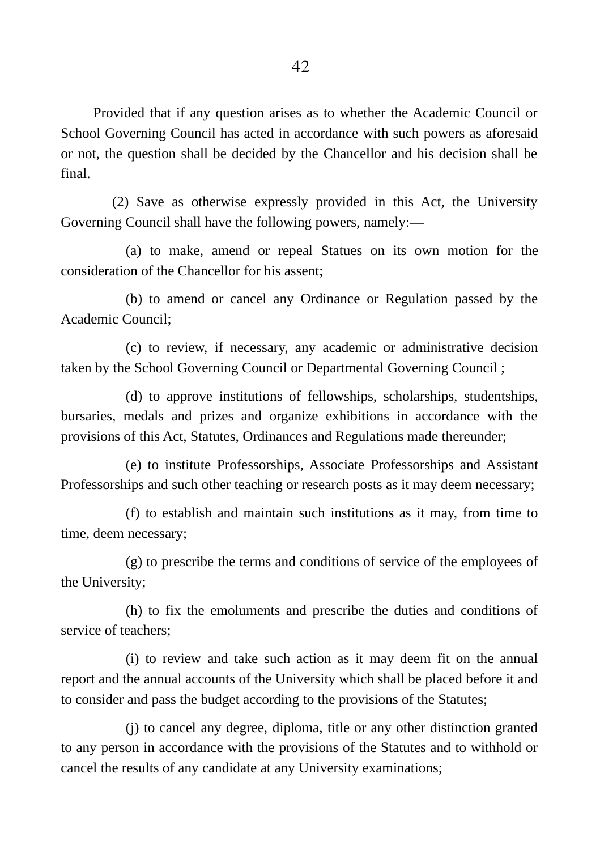Provided that if any question arises as to whether the Academic Council or School Governing Council has acted in accordance with such powers as aforesaid or not, the question shall be decided by the Chancellor and his decision shall be final.

(2) Save as otherwise expressly provided in this Act, the University Governing Council shall have the following powers, namely:―

(a) to make, amend or repeal Statues on its own motion for the consideration of the Chancellor for his assent;

(b) to amend or cancel any Ordinance or Regulation passed by the Academic Council;

(c) to review, if necessary, any academic or administrative decision taken by the School Governing Council or Departmental Governing Council ;

(d) to approve institutions of fellowships, scholarships, studentships, bursaries, medals and prizes and organize exhibitions in accordance with the provisions of this Act, Statutes, Ordinances and Regulations made thereunder;

(e) to institute Professorships, Associate Professorships and Assistant Professorships and such other teaching or research posts as it may deem necessary;

(f) to establish and maintain such institutions as it may, from time to time, deem necessary;

(g) to prescribe the terms and conditions of service of the employees of the University;

(h) to fix the emoluments and prescribe the duties and conditions of service of teachers;

(i) to review and take such action as it may deem fit on the annual report and the annual accounts of the University which shall be placed before it and to consider and pass the budget according to the provisions of the Statutes;

(j) to cancel any degree, diploma, title or any other distinction granted to any person in accordance with the provisions of the Statutes and to withhold or cancel the results of any candidate at any University examinations;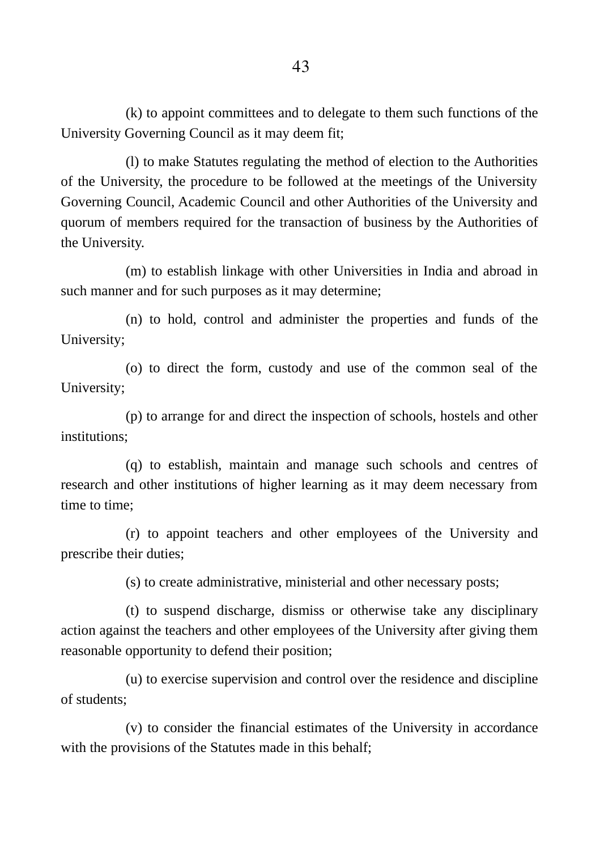(k) to appoint committees and to delegate to them such functions of the University Governing Council as it may deem fit;

(l) to make Statutes regulating the method of election to the Authorities of the University, the procedure to be followed at the meetings of the University Governing Council, Academic Council and other Authorities of the University and quorum of members required for the transaction of business by the Authorities of the University.

(m) to establish linkage with other Universities in India and abroad in such manner and for such purposes as it may determine;

(n) to hold, control and administer the properties and funds of the University;

(o) to direct the form, custody and use of the common seal of the University;

(p) to arrange for and direct the inspection of schools, hostels and other institutions;

(q) to establish, maintain and manage such schools and centres of research and other institutions of higher learning as it may deem necessary from time to time;

(r) to appoint teachers and other employees of the University and prescribe their duties;

(s) to create administrative, ministerial and other necessary posts;

(t) to suspend discharge, dismiss or otherwise take any disciplinary action against the teachers and other employees of the University after giving them reasonable opportunity to defend their position;

(u) to exercise supervision and control over the residence and discipline of students;

(v) to consider the financial estimates of the University in accordance with the provisions of the Statutes made in this behalf;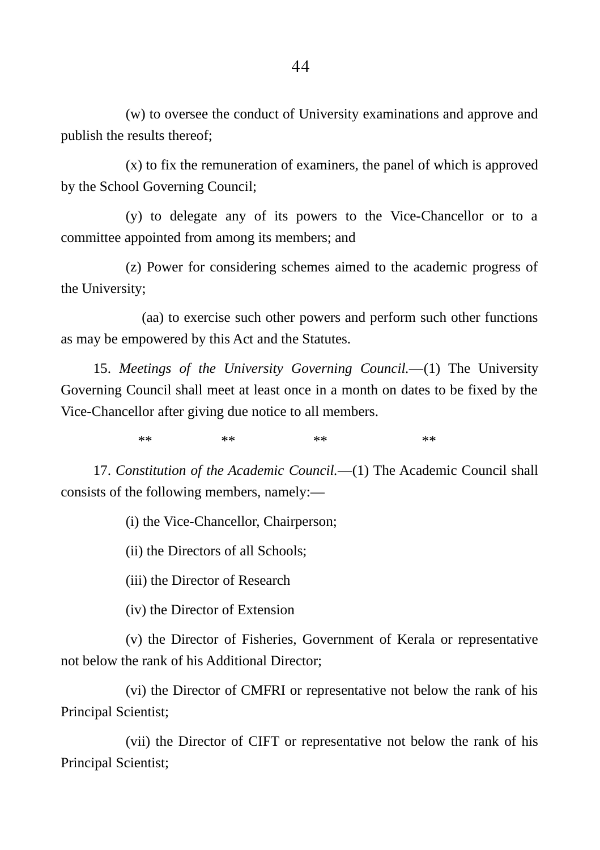(w) to oversee the conduct of University examinations and approve and publish the results thereof;

(x) to fix the remuneration of examiners, the panel of which is approved by the School Governing Council;

(y) to delegate any of its powers to the Vice-Chancellor or to a committee appointed from among its members; and

(z) Power for considering schemes aimed to the academic progress of the University;

(aa) to exercise such other powers and perform such other functions as may be empowered by this Act and the Statutes.

15. *Meetings of the University Governing Council.―*(1) The University Governing Council shall meet at least once in a month on dates to be fixed by the Vice-Chancellor after giving due notice to all members.

\*\* \*\* \*\* \*\* \*\* \*\* \*\* \*\*

17. *Constitution of the Academic Council.―*(1) The Academic Council shall consists of the following members, namely:―

(i) the Vice-Chancellor, Chairperson;

(ii) the Directors of all Schools;

(iii) the Director of Research

(iv) the Director of Extension

(v) the Director of Fisheries, Government of Kerala or representative not below the rank of his Additional Director;

(vi) the Director of CMFRI or representative not below the rank of his Principal Scientist;

(vii) the Director of CIFT or representative not below the rank of his Principal Scientist;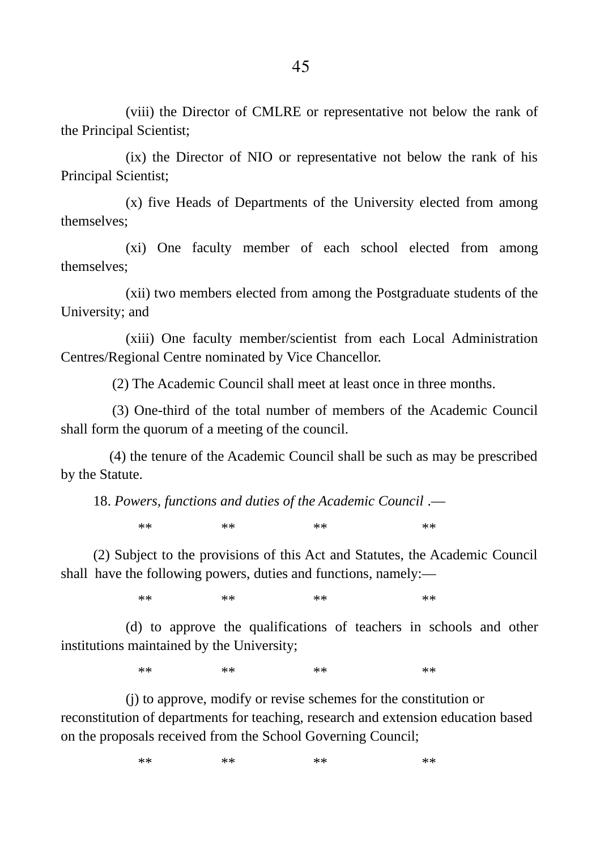(viii) the Director of CMLRE or representative not below the rank of the Principal Scientist;

(ix) the Director of NIO or representative not below the rank of his Principal Scientist;

(x) five Heads of Departments of the University elected from among themselves;

(xi) One faculty member of each school elected from among themselves;

(xii) two members elected from among the Postgraduate students of the University; and

(xiii) One faculty member/scientist from each Local Administration Centres/Regional Centre nominated by Vice Chancellor.

(2) The Academic Council shall meet at least once in three months.

(3) One-third of the total number of members of the Academic Council shall form the quorum of a meeting of the council.

(4) the tenure of the Academic Council shall be such as may be prescribed by the Statute.

18. *Powers, functions and duties of the Academic Council* .―

\*\* \*\* \*\* \*\* \*\* \*\* \*\* \*\*

(2) Subject to the provisions of this Act and Statutes, the Academic Council shall have the following powers, duties and functions, namely:―

\*\* \*\* \*\* \*\* \*\* \*\* \*\* \*\*

(d) to approve the qualifications of teachers in schools and other institutions maintained by the University;

\*\* \*\* \*\* \*\* \*\* \*\* \*\* \*\*

(j) to approve, modify or revise schemes for the constitution or reconstitution of departments for teaching, research and extension education based on the proposals received from the School Governing Council;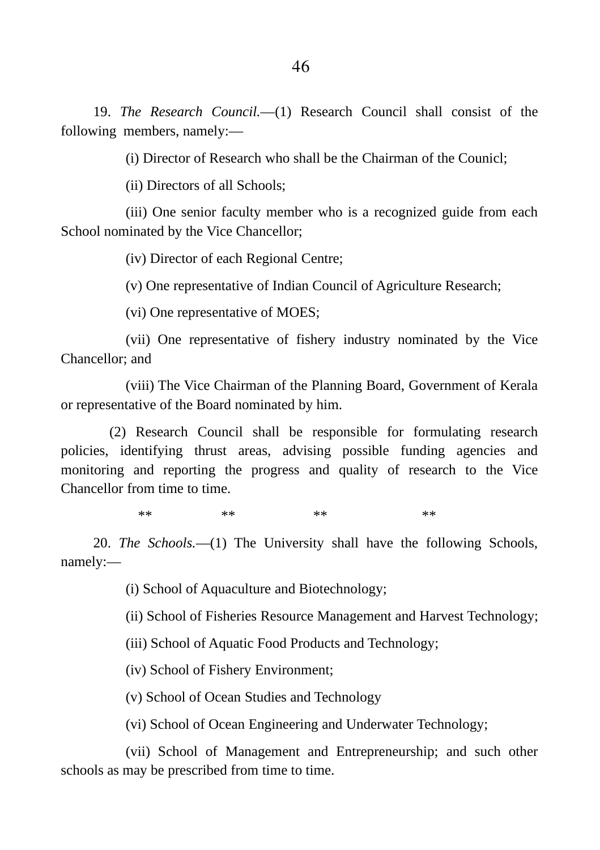19. *The Research Council.―*(1) Research Council shall consist of the following members, namely:―

(i) Director of Research who shall be the Chairman of the Counicl;

(ii) Directors of all Schools;

(iii) One senior faculty member who is a recognized guide from each School nominated by the Vice Chancellor;

(iv) Director of each Regional Centre;

(v) One representative of Indian Council of Agriculture Research;

(vi) One representative of MOES;

(vii) One representative of fishery industry nominated by the Vice Chancellor; and

(viii) The Vice Chairman of the Planning Board, Government of Kerala or representative of the Board nominated by him.

(2) Research Council shall be responsible for formulating research policies, identifying thrust areas, advising possible funding agencies and monitoring and reporting the progress and quality of research to the Vice Chancellor from time to time.

\*\* \*\* \*\* \*\* \*\* \*\* \*\* \*\*

20. *The Schools.―*(1) The University shall have the following Schools, namely:―

(i) School of Aquaculture and Biotechnology;

(ii) School of Fisheries Resource Management and Harvest Technology;

(iii) School of Aquatic Food Products and Technology;

(iv) School of Fishery Environment;

(v) School of Ocean Studies and Technology

(vi) School of Ocean Engineering and Underwater Technology;

(vii) School of Management and Entrepreneurship; and such other schools as may be prescribed from time to time.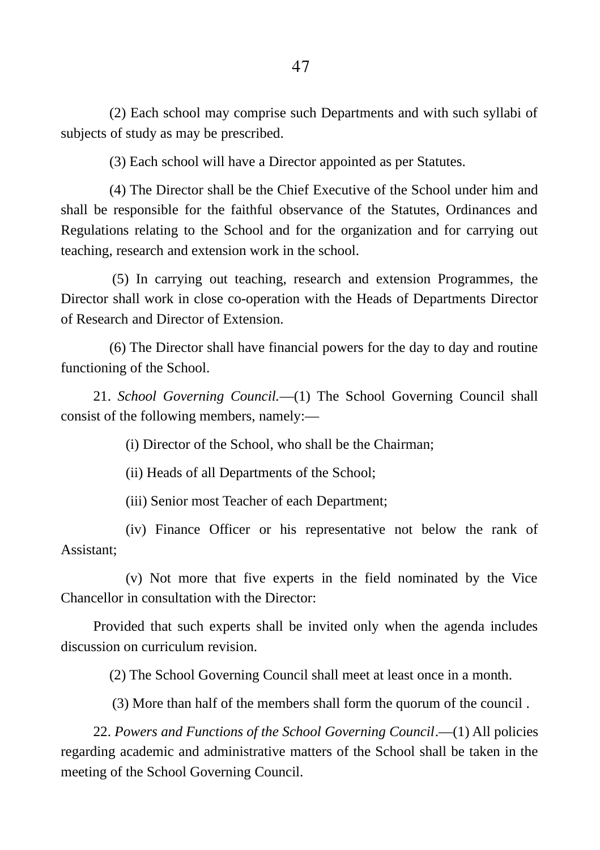(2) Each school may comprise such Departments and with such syllabi of subjects of study as may be prescribed.

(3) Each school will have a Director appointed as per Statutes.

(4) The Director shall be the Chief Executive of the School under him and shall be responsible for the faithful observance of the Statutes, Ordinances and Regulations relating to the School and for the organization and for carrying out teaching, research and extension work in the school.

(5) In carrying out teaching, research and extension Programmes, the Director shall work in close co-operation with the Heads of Departments Director of Research and Director of Extension.

(6) The Director shall have financial powers for the day to day and routine functioning of the School.

21. *School Governing Council.*―(1) The School Governing Council shall consist of the following members, namely:―

(i) Director of the School, who shall be the Chairman;

(ii) Heads of all Departments of the School;

(iii) Senior most Teacher of each Department;

(iv) Finance Officer or his representative not below the rank of Assistant;

(v) Not more that five experts in the field nominated by the Vice Chancellor in consultation with the Director:

Provided that such experts shall be invited only when the agenda includes discussion on curriculum revision.

(2) The School Governing Council shall meet at least once in a month.

(3) More than half of the members shall form the quorum of the council .

22. *Powers and Functions of the School Governing Council*.―(1) All policies regarding academic and administrative matters of the School shall be taken in the meeting of the School Governing Council.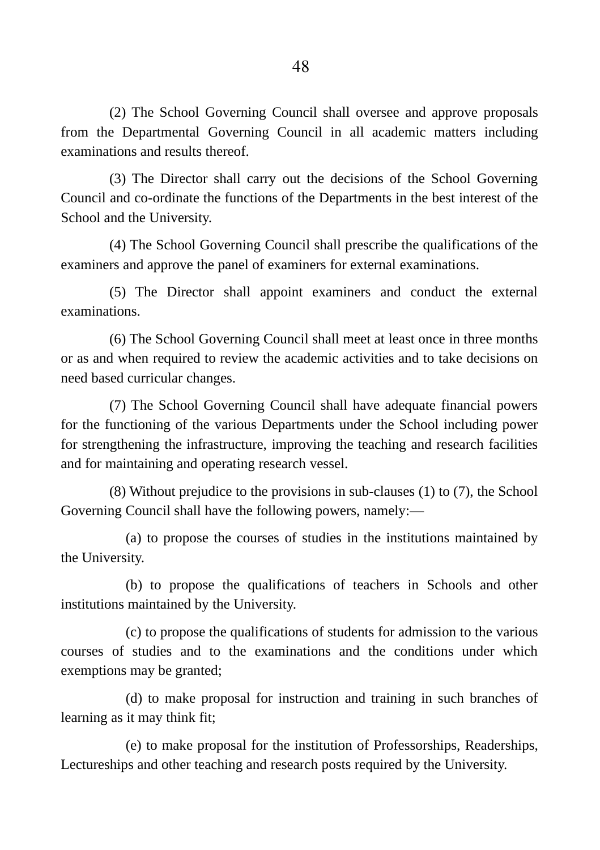(2) The School Governing Council shall oversee and approve proposals from the Departmental Governing Council in all academic matters including examinations and results thereof.

(3) The Director shall carry out the decisions of the School Governing Council and co-ordinate the functions of the Departments in the best interest of the School and the University.

(4) The School Governing Council shall prescribe the qualifications of the examiners and approve the panel of examiners for external examinations.

(5) The Director shall appoint examiners and conduct the external examinations.

(6) The School Governing Council shall meet at least once in three months or as and when required to review the academic activities and to take decisions on need based curricular changes.

(7) The School Governing Council shall have adequate financial powers for the functioning of the various Departments under the School including power for strengthening the infrastructure, improving the teaching and research facilities and for maintaining and operating research vessel.

(8) Without prejudice to the provisions in sub-clauses (1) to (7), the School Governing Council shall have the following powers, namely:―

(a) to propose the courses of studies in the institutions maintained by the University.

(b) to propose the qualifications of teachers in Schools and other institutions maintained by the University.

(c) to propose the qualifications of students for admission to the various courses of studies and to the examinations and the conditions under which exemptions may be granted;

(d) to make proposal for instruction and training in such branches of learning as it may think fit;

(e) to make proposal for the institution of Professorships, Readerships, Lectureships and other teaching and research posts required by the University.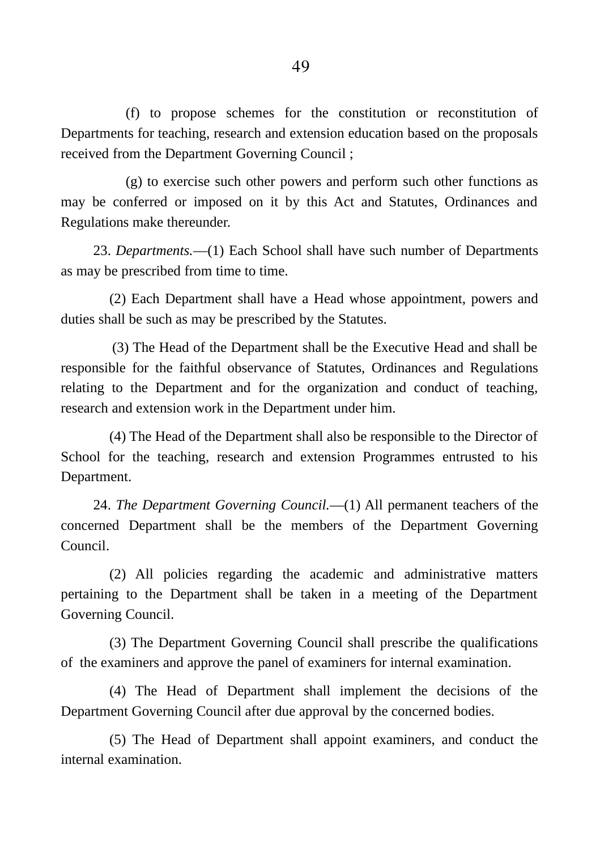(f) to propose schemes for the constitution or reconstitution of Departments for teaching, research and extension education based on the proposals received from the Department Governing Council ;

(g) to exercise such other powers and perform such other functions as may be conferred or imposed on it by this Act and Statutes, Ordinances and Regulations make thereunder.

23. *Departments.*―(1) Each School shall have such number of Departments as may be prescribed from time to time.

(2) Each Department shall have a Head whose appointment, powers and duties shall be such as may be prescribed by the Statutes.

(3) The Head of the Department shall be the Executive Head and shall be responsible for the faithful observance of Statutes, Ordinances and Regulations relating to the Department and for the organization and conduct of teaching, research and extension work in the Department under him.

(4) The Head of the Department shall also be responsible to the Director of School for the teaching, research and extension Programmes entrusted to his Department.

24. *The Department Governing Council.*―(1) All permanent teachers of the concerned Department shall be the members of the Department Governing Council.

(2) All policies regarding the academic and administrative matters pertaining to the Department shall be taken in a meeting of the Department Governing Council.

(3) The Department Governing Council shall prescribe the qualifications of the examiners and approve the panel of examiners for internal examination.

(4) The Head of Department shall implement the decisions of the Department Governing Council after due approval by the concerned bodies.

(5) The Head of Department shall appoint examiners, and conduct the internal examination.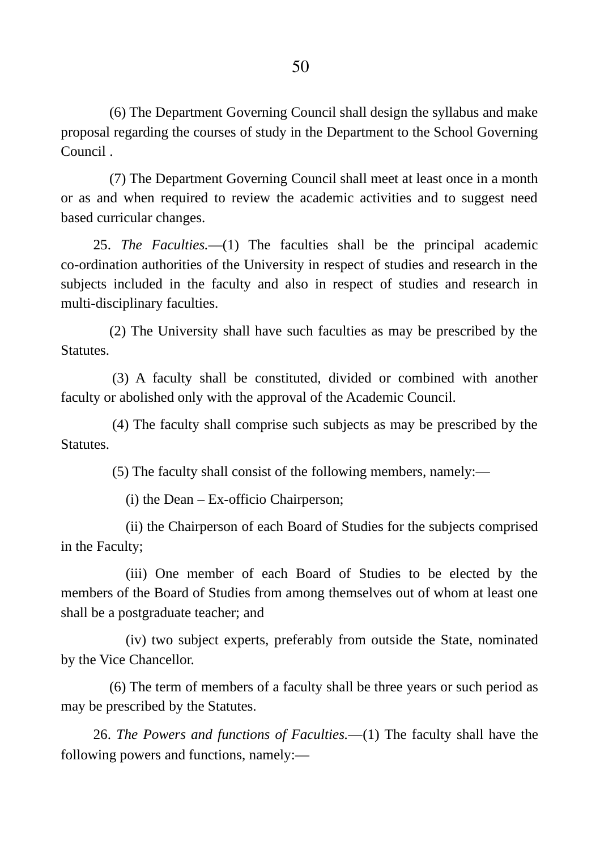(6) The Department Governing Council shall design the syllabus and make proposal regarding the courses of study in the Department to the School Governing Council .

(7) The Department Governing Council shall meet at least once in a month or as and when required to review the academic activities and to suggest need based curricular changes.

25. *The Faculties.―*(1) The faculties shall be the principal academic co-ordination authorities of the University in respect of studies and research in the subjects included in the faculty and also in respect of studies and research in multi-disciplinary faculties.

(2) The University shall have such faculties as may be prescribed by the Statutes.

(3) A faculty shall be constituted, divided or combined with another faculty or abolished only with the approval of the Academic Council.

(4) The faculty shall comprise such subjects as may be prescribed by the **Statutes** 

(5) The faculty shall consist of the following members, namely:―

(i) the Dean – Ex-officio Chairperson;

(ii) the Chairperson of each Board of Studies for the subjects comprised in the Faculty;

(iii) One member of each Board of Studies to be elected by the members of the Board of Studies from among themselves out of whom at least one shall be a postgraduate teacher; and

(iv) two subject experts, preferably from outside the State, nominated by the Vice Chancellor.

(6) The term of members of a faculty shall be three years or such period as may be prescribed by the Statutes.

26. *The Powers and functions of Faculties.―*(1) The faculty shall have the following powers and functions, namely:―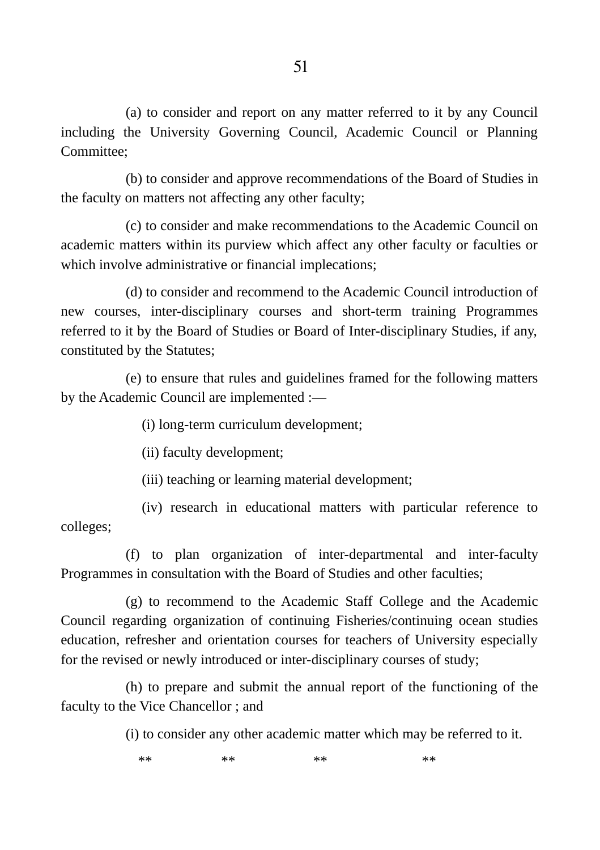(a) to consider and report on any matter referred to it by any Council including the University Governing Council, Academic Council or Planning Committee;

(b) to consider and approve recommendations of the Board of Studies in the faculty on matters not affecting any other faculty;

(c) to consider and make recommendations to the Academic Council on academic matters within its purview which affect any other faculty or faculties or which involve administrative or financial implecations;

(d) to consider and recommend to the Academic Council introduction of new courses, inter-disciplinary courses and short-term training Programmes referred to it by the Board of Studies or Board of Inter-disciplinary Studies, if any, constituted by the Statutes;

(e) to ensure that rules and guidelines framed for the following matters by the Academic Council are implemented :―

(i) long-term curriculum development;

(ii) faculty development;

(iii) teaching or learning material development;

(iv) research in educational matters with particular reference to colleges;

(f) to plan organization of inter-departmental and inter-faculty Programmes in consultation with the Board of Studies and other faculties;

(g) to recommend to the Academic Staff College and the Academic Council regarding organization of continuing Fisheries/continuing ocean studies education, refresher and orientation courses for teachers of University especially for the revised or newly introduced or inter-disciplinary courses of study;

(h) to prepare and submit the annual report of the functioning of the faculty to the Vice Chancellor ; and

(i) to consider any other academic matter which may be referred to it.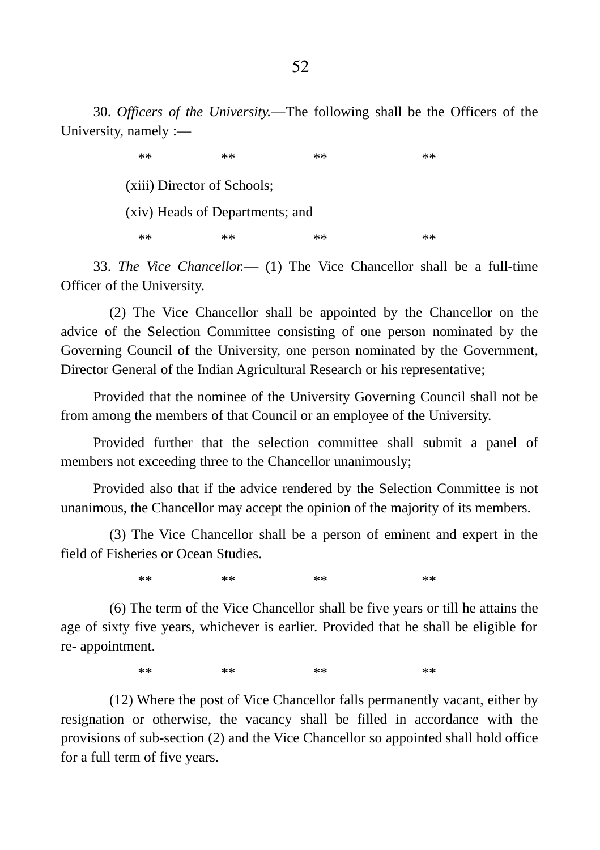30. *Officers of the University.―*The following shall be the Officers of the University, namely :―

> \*\* \*\* \*\* \*\* \*\* \*\* \*\* \*\* (xiii) Director of Schools; (xiv) Heads of Departments; and \*\* \*\* \*\* \*\* \*\* \*\* \*\* \*\*

33. *The Vice Chancellor.*― (1) The Vice Chancellor shall be a full-time Officer of the University.

(2) The Vice Chancellor shall be appointed by the Chancellor on the advice of the Selection Committee consisting of one person nominated by the Governing Council of the University, one person nominated by the Government, Director General of the Indian Agricultural Research or his representative;

Provided that the nominee of the University Governing Council shall not be from among the members of that Council or an employee of the University.

Provided further that the selection committee shall submit a panel of members not exceeding three to the Chancellor unanimously;

Provided also that if the advice rendered by the Selection Committee is not unanimous, the Chancellor may accept the opinion of the majority of its members.

(3) The Vice Chancellor shall be a person of eminent and expert in the field of Fisheries or Ocean Studies.

\*\* \*\* \*\* \*\* \*\* \*\* \*\* \*\*

(6) The term of the Vice Chancellor shall be five years or till he attains the age of sixty five years, whichever is earlier. Provided that he shall be eligible for re- appointment.

\*\* \*\* \*\* \*\* \*\* \*\* \*\* \*\*

(12) Where the post of Vice Chancellor falls permanently vacant, either by resignation or otherwise, the vacancy shall be filled in accordance with the provisions of sub-section (2) and the Vice Chancellor so appointed shall hold office for a full term of five years.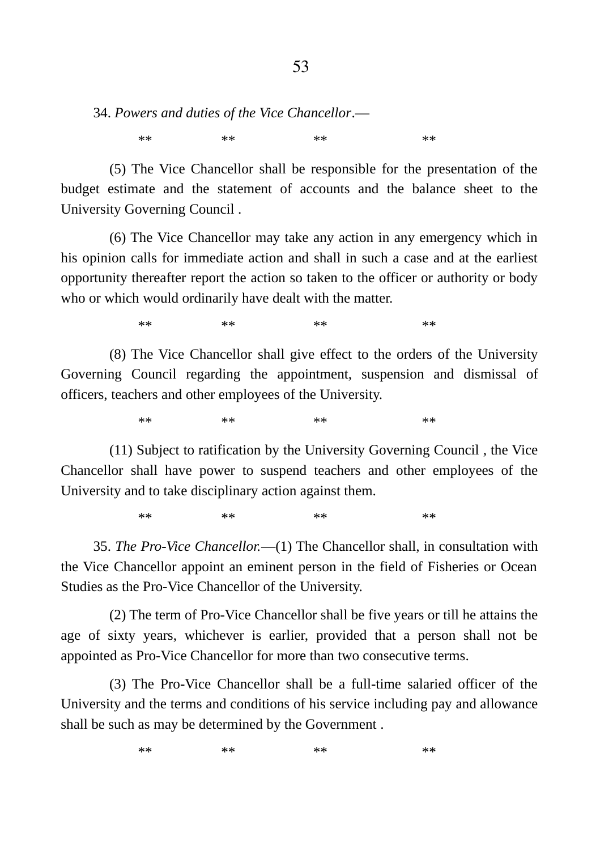34. *Powers and duties of the Vice Chancellor*.―

\*\* \*\* \*\* \*\* \*\* \*\* \*\* \*\*

(5) The Vice Chancellor shall be responsible for the presentation of the budget estimate and the statement of accounts and the balance sheet to the University Governing Council .

(6) The Vice Chancellor may take any action in any emergency which in his opinion calls for immediate action and shall in such a case and at the earliest opportunity thereafter report the action so taken to the officer or authority or body who or which would ordinarily have dealt with the matter.

\*\* \*\* \*\* \*\* \*\* \*\* \*\* \*\*

(8) The Vice Chancellor shall give effect to the orders of the University Governing Council regarding the appointment, suspension and dismissal of officers, teachers and other employees of the University.

\*\* \*\* \*\* \*\* \*\* \*\* \*\* \*\*

(11) Subject to ratification by the University Governing Council , the Vice Chancellor shall have power to suspend teachers and other employees of the University and to take disciplinary action against them.

\*\* \*\* \*\* \*\* \*\* \*\* \*\* \*\*

35. *The Pro-Vice Chancellor.*―(1) The Chancellor shall, in consultation with the Vice Chancellor appoint an eminent person in the field of Fisheries or Ocean Studies as the Pro-Vice Chancellor of the University.

(2) The term of Pro-Vice Chancellor shall be five years or till he attains the age of sixty years, whichever is earlier, provided that a person shall not be appointed as Pro-Vice Chancellor for more than two consecutive terms.

(3) The Pro-Vice Chancellor shall be a full-time salaried officer of the University and the terms and conditions of his service including pay and allowance shall be such as may be determined by the Government .

\*\* \*\* \*\* \*\* \*\* \*\* \*\* \*\*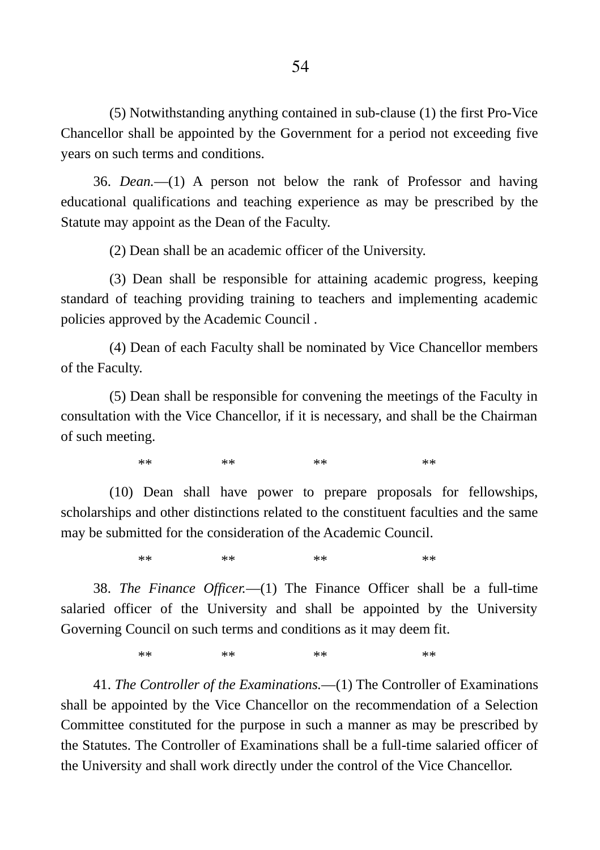(5) Notwithstanding anything contained in sub-clause (1) the first Pro-Vice Chancellor shall be appointed by the Government for a period not exceeding five years on such terms and conditions.

36. *Dean.―*(1) A person not below the rank of Professor and having educational qualifications and teaching experience as may be prescribed by the Statute may appoint as the Dean of the Faculty.

(2) Dean shall be an academic officer of the University.

(3) Dean shall be responsible for attaining academic progress, keeping standard of teaching providing training to teachers and implementing academic policies approved by the Academic Council .

(4) Dean of each Faculty shall be nominated by Vice Chancellor members of the Faculty.

(5) Dean shall be responsible for convening the meetings of the Faculty in consultation with the Vice Chancellor, if it is necessary, and shall be the Chairman of such meeting.

\*\* \*\* \*\* \*\* \*\* \*\* \*\* \*\*

(10) Dean shall have power to prepare proposals for fellowships, scholarships and other distinctions related to the constituent faculties and the same may be submitted for the consideration of the Academic Council.

\*\* \*\* \*\* \*\* \*\* \*\* \*\* \*\*

38. *The Finance Officer.―*(1) The Finance Officer shall be a full-time salaried officer of the University and shall be appointed by the University Governing Council on such terms and conditions as it may deem fit.

\*\* \*\* \*\* \*\* \*\* \*\* \*\* \*\*

41. *The Controller of the Examinations.―*(1) The Controller of Examinations shall be appointed by the Vice Chancellor on the recommendation of a Selection Committee constituted for the purpose in such a manner as may be prescribed by the Statutes. The Controller of Examinations shall be a full-time salaried officer of the University and shall work directly under the control of the Vice Chancellor.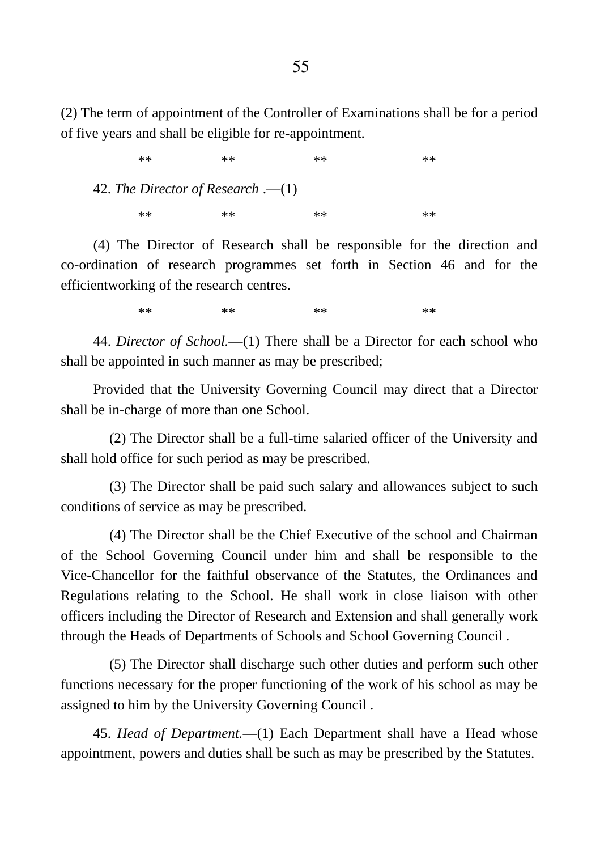(2) The term of appointment of the Controller of Examinations shall be for a period of five years and shall be eligible for re-appointment.

\*\* \*\* \*\* \*\* \*\* \*\* \*\* \*\* 42. *The Director of Research* .―(1) \*\* \*\* \*\* \*\* \*\* \*\* \*\* \*\*

(4) The Director of Research shall be responsible for the direction and co-ordination of research programmes set forth in Section 46 and for the efficientworking of the research centres.

\*\* \*\* \*\* \*\* \*\* \*\* \*\* \*\*

44. *Director of School.―*(1) There shall be a Director for each school who shall be appointed in such manner as may be prescribed;

Provided that the University Governing Council may direct that a Director shall be in-charge of more than one School.

(2) The Director shall be a full-time salaried officer of the University and shall hold office for such period as may be prescribed.

(3) The Director shall be paid such salary and allowances subject to such conditions of service as may be prescribed.

(4) The Director shall be the Chief Executive of the school and Chairman of the School Governing Council under him and shall be responsible to the Vice-Chancellor for the faithful observance of the Statutes, the Ordinances and Regulations relating to the School. He shall work in close liaison with other officers including the Director of Research and Extension and shall generally work through the Heads of Departments of Schools and School Governing Council .

(5) The Director shall discharge such other duties and perform such other functions necessary for the proper functioning of the work of his school as may be assigned to him by the University Governing Council .

45. *Head of Department.*―(1) Each Department shall have a Head whose appointment, powers and duties shall be such as may be prescribed by the Statutes.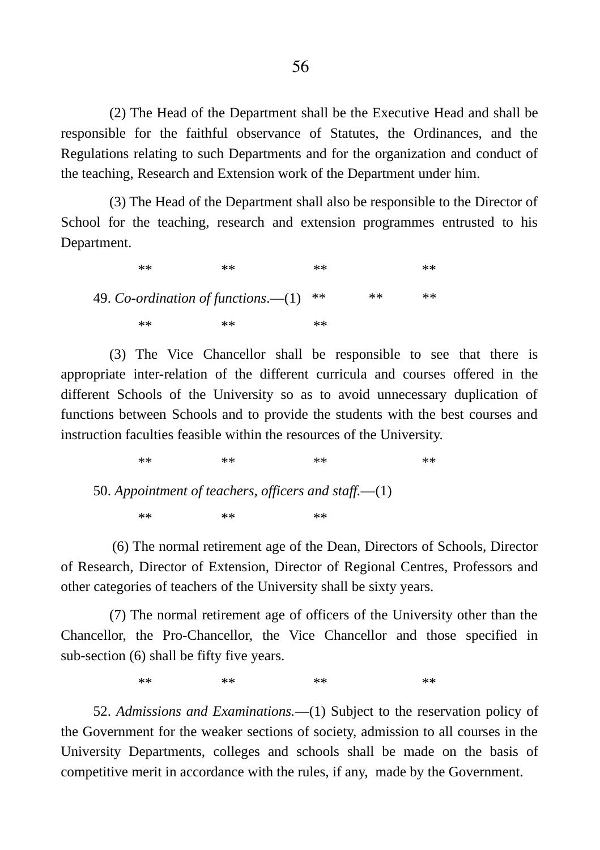(2) The Head of the Department shall be the Executive Head and shall be responsible for the faithful observance of Statutes, the Ordinances, and the Regulations relating to such Departments and for the organization and conduct of the teaching, Research and Extension work of the Department under him.

(3) The Head of the Department shall also be responsible to the Director of School for the teaching, research and extension programmes entrusted to his Department.

\*\* \*\* \*\* \*\* \*\* \*\* \*\* \*\* 49. Co-ordination of functions.—(1) \*\* \*\* \*\* \*\* \*\* \*\* \*\* \*\* \*\*

(3) The Vice Chancellor shall be responsible to see that there is appropriate inter-relation of the different curricula and courses offered in the different Schools of the University so as to avoid unnecessary duplication of functions between Schools and to provide the students with the best courses and instruction faculties feasible within the resources of the University.

\*\* \*\* \*\* \*\* \*\* \*\* \*\* \*\*

50. *Appointment of teachers, officers and staff.―*(1) \*\* \*\* \*\* \*\* \*\*

(6) The normal retirement age of the Dean, Directors of Schools, Director of Research, Director of Extension, Director of Regional Centres, Professors and other categories of teachers of the University shall be sixty years.

(7) The normal retirement age of officers of the University other than the Chancellor, the Pro-Chancellor, the Vice Chancellor and those specified in sub-section (6) shall be fifty five years.

\*\* \*\* \*\* \*\* \*\* \*\* \*\* \*\*

52. *Admissions and Examinations.―*(1) Subject to the reservation policy of the Government for the weaker sections of society, admission to all courses in the University Departments, colleges and schools shall be made on the basis of competitive merit in accordance with the rules, if any, made by the Government.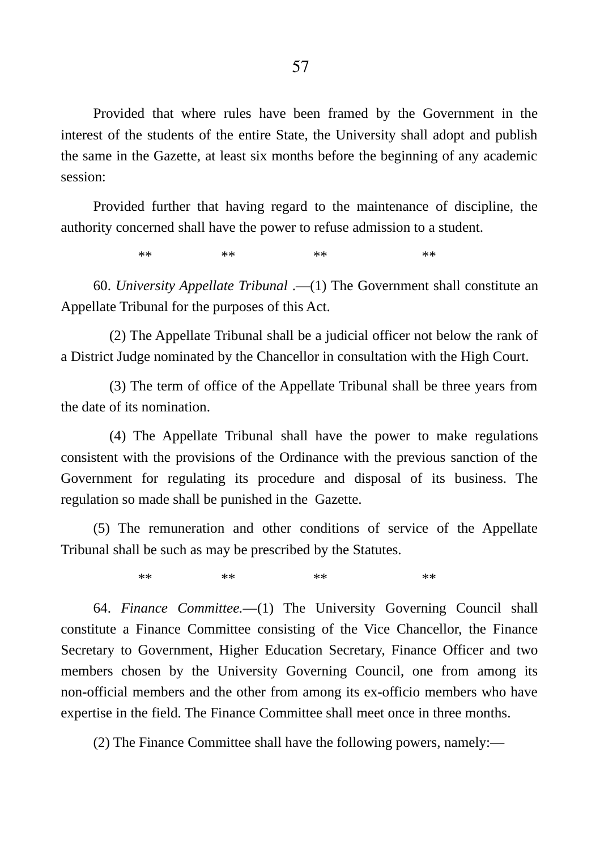Provided that where rules have been framed by the Government in the interest of the students of the entire State, the University shall adopt and publish the same in the Gazette, at least six months before the beginning of any academic session:

Provided further that having regard to the maintenance of discipline, the authority concerned shall have the power to refuse admission to a student.

\*\* \*\* \*\* \*\* \*\* \*\* \*\* \*\*

60. *University Appellate Tribunal* .―(1) The Government shall constitute an Appellate Tribunal for the purposes of this Act.

(2) The Appellate Tribunal shall be a judicial officer not below the rank of a District Judge nominated by the Chancellor in consultation with the High Court.

(3) The term of office of the Appellate Tribunal shall be three years from the date of its nomination.

(4) The Appellate Tribunal shall have the power to make regulations consistent with the provisions of the Ordinance with the previous sanction of the Government for regulating its procedure and disposal of its business. The regulation so made shall be punished in the Gazette.

(5) The remuneration and other conditions of service of the Appellate Tribunal shall be such as may be prescribed by the Statutes.

\*\* \*\* \*\* \*\* \*\* \*\* \*\* \*\*

64. *Finance Committee.―*(1) The University Governing Council shall constitute a Finance Committee consisting of the Vice Chancellor, the Finance Secretary to Government, Higher Education Secretary, Finance Officer and two members chosen by the University Governing Council, one from among its non-official members and the other from among its ex-officio members who have expertise in the field. The Finance Committee shall meet once in three months.

(2) The Finance Committee shall have the following powers, namely:―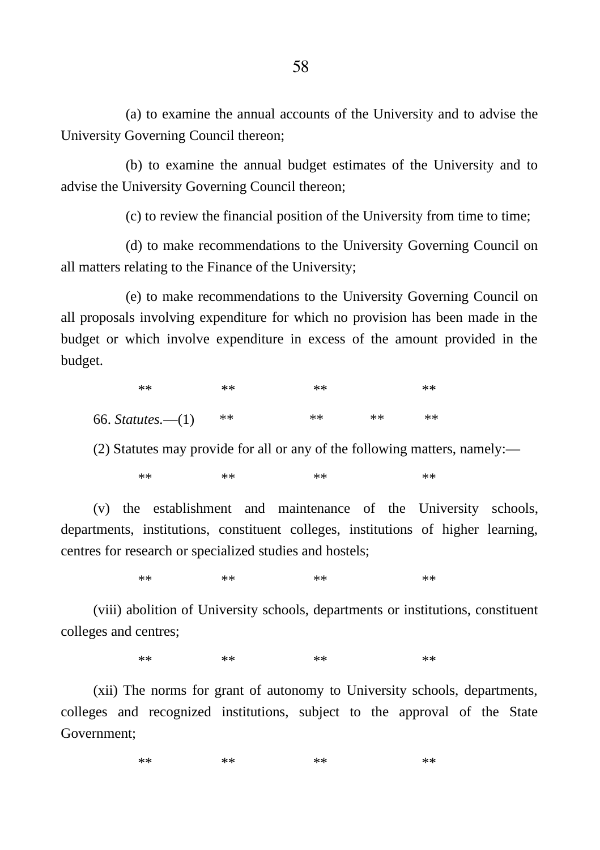(a) to examine the annual accounts of the University and to advise the University Governing Council thereon;

(b) to examine the annual budget estimates of the University and to advise the University Governing Council thereon;

(c) to review the financial position of the University from time to time;

(d) to make recommendations to the University Governing Council on all matters relating to the Finance of the University;

(e) to make recommendations to the University Governing Council on all proposals involving expenditure for which no provision has been made in the budget or which involve expenditure in excess of the amount provided in the budget.

| $**$              | $**$  | $**$ |      | $**$ |
|-------------------|-------|------|------|------|
| 66. Statutes.—(1) | $***$ | $**$ | $**$ | $**$ |

(2) Statutes may provide for all or any of the following matters, namely:―

\*\* \*\* \*\* \*\* \*\* \*\* \*\* \*\*

(v) the establishment and maintenance of the University schools, departments, institutions, constituent colleges, institutions of higher learning, centres for research or specialized studies and hostels;

\*\* \*\* \*\* \*\* \*\* \*\* \*\* \*\*

(viii) abolition of University schools, departments or institutions, constituent colleges and centres;

\*\* \*\* \*\* \*\* \*\* \*\* \*\* \*\*

(xii) The norms for grant of autonomy to University schools, departments, colleges and recognized institutions, subject to the approval of the State Government;

```
** ** ** ** ** ** ** **
```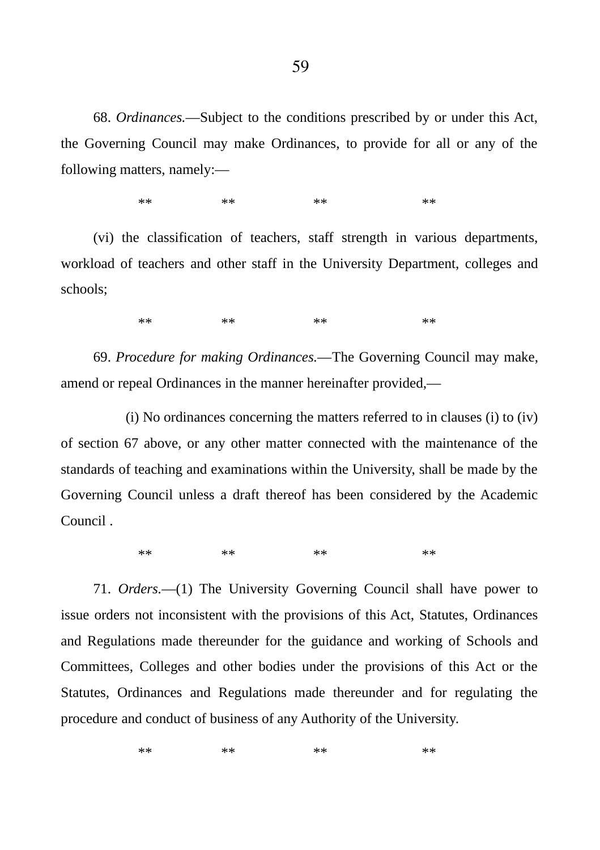68. *Ordinances.―*Subject to the conditions prescribed by or under this Act, the Governing Council may make Ordinances, to provide for all or any of the following matters, namely:―

\*\* \*\* \*\* \*\* \*\* \*\* \*\* \*\*

(vi) the classification of teachers, staff strength in various departments, workload of teachers and other staff in the University Department, colleges and schools;

\*\* \*\* \*\* \*\* \*\* \*\* \*\* \*\*

69. *Procedure for making Ordinances.―*The Governing Council may make, amend or repeal Ordinances in the manner hereinafter provided,―

(i) No ordinances concerning the matters referred to in clauses (i) to (iv) of section 67 above, or any other matter connected with the maintenance of the standards of teaching and examinations within the University, shall be made by the Governing Council unless a draft thereof has been considered by the Academic Council .

\*\* \*\* \*\* \*\* \*\* \*\* \*\* \*\*

71. *Orders.―*(1) The University Governing Council shall have power to issue orders not inconsistent with the provisions of this Act, Statutes, Ordinances and Regulations made thereunder for the guidance and working of Schools and Committees, Colleges and other bodies under the provisions of this Act or the Statutes, Ordinances and Regulations made thereunder and for regulating the procedure and conduct of business of any Authority of the University.

\*\* \*\* \*\* \*\* \*\* \*\* \*\* \*\*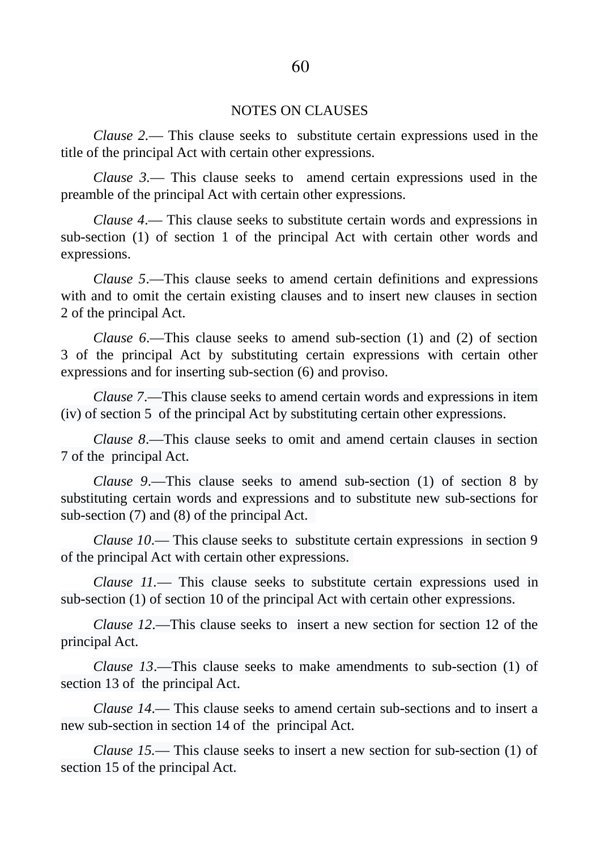#### NOTES ON CLAUSES

*Clause 2.*― This clause seeks to substitute certain expressions used in the title of the principal Act with certain other expressions.

*Clause 3.―* This clause seeks to amend certain expressions used in the preamble of the principal Act with certain other expressions.

*Clause 4*.― This clause seeks to substitute certain words and expressions in sub-section (1) of section 1 of the principal Act with certain other words and expressions.

*Clause 5*.―This clause seeks to amend certain definitions and expressions with and to omit the certain existing clauses and to insert new clauses in section 2 of the principal Act.

*Clause 6*.―This clause seeks to amend sub-section (1) and (2) of section 3 of the principal Act by substituting certain expressions with certain other expressions and for inserting sub-section (6) and proviso.

*Clause 7*.―This clause seeks to amend certain words and expressions in item (iv) of section 5 of the principal Act by substituting certain other expressions.

*Clause 8*.―This clause seeks to omit and amend certain clauses in section 7 of the principal Act.

*Clause 9*.―This clause seeks to amend sub-section (1) of section 8 by substituting certain words and expressions and to substitute new sub-sections for sub-section (7) and (8) of the principal Act.

*Clause 10*.― This clause seeks to substitute certain expressions in section 9 of the principal Act with certain other expressions.

*Clause 11.*― This clause seeks to substitute certain expressions used in sub-section (1) of section 10 of the principal Act with certain other expressions.

*Clause 12*.―This clause seeks to insert a new section for section 12 of the principal Act.

*Clause 13*.―This clause seeks to make amendments to sub-section (1) of section 13 of the principal Act.

*Clause 14*.― This clause seeks to amend certain sub-sections and to insert a new sub-section in section 14 of the principal Act.

*Clause 15.*― This clause seeks to insert a new section for sub-section (1) of section 15 of the principal Act.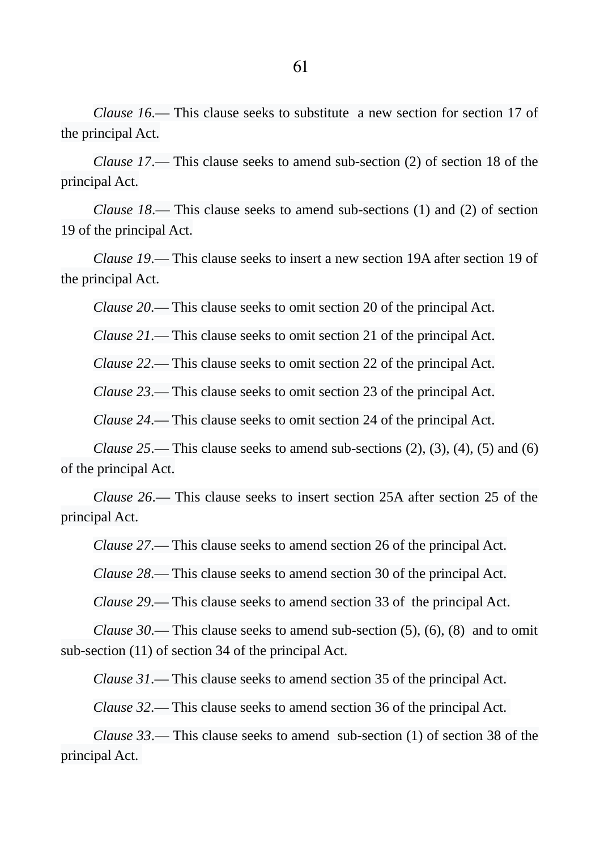*Clause 16*.― This clause seeks to substitute a new section for section 17 of the principal Act.

*Clause 17*.― This clause seeks to amend sub-section (2) of section 18 of the principal Act.

*Clause 18*.― This clause seeks to amend sub-sections (1) and (2) of section 19 of the principal Act.

*Clause 19*.― This clause seeks to insert a new section 19A after section 19 of the principal Act.

*Clause 20*.― This clause seeks to omit section 20 of the principal Act.

*Clause 21*.― This clause seeks to omit section 21 of the principal Act.

*Clause 22*.― This clause seeks to omit section 22 of the principal Act.

*Clause 23*.― This clause seeks to omit section 23 of the principal Act.

*Clause 24*.― This clause seeks to omit section 24 of the principal Act.

*Clause 25*.― This clause seeks to amend sub-sections (2), (3), (4), (5) and (6) of the principal Act.

*Clause 26*.― This clause seeks to insert section 25A after section 25 of the principal Act.

*Clause 27*.― This clause seeks to amend section 26 of the principal Act.

*Clause 28*.― This clause seeks to amend section 30 of the principal Act.

*Clause 29*.― This clause seeks to amend section 33 of the principal Act.

*Clause 30*.― This clause seeks to amend sub-section (5), (6), (8) and to omit sub-section (11) of section 34 of the principal Act.

*Clause 31*.― This clause seeks to amend section 35 of the principal Act.

*Clause 32*.― This clause seeks to amend section 36 of the principal Act.

*Clause 33*.― This clause seeks to amend sub-section (1) of section 38 of the principal Act.